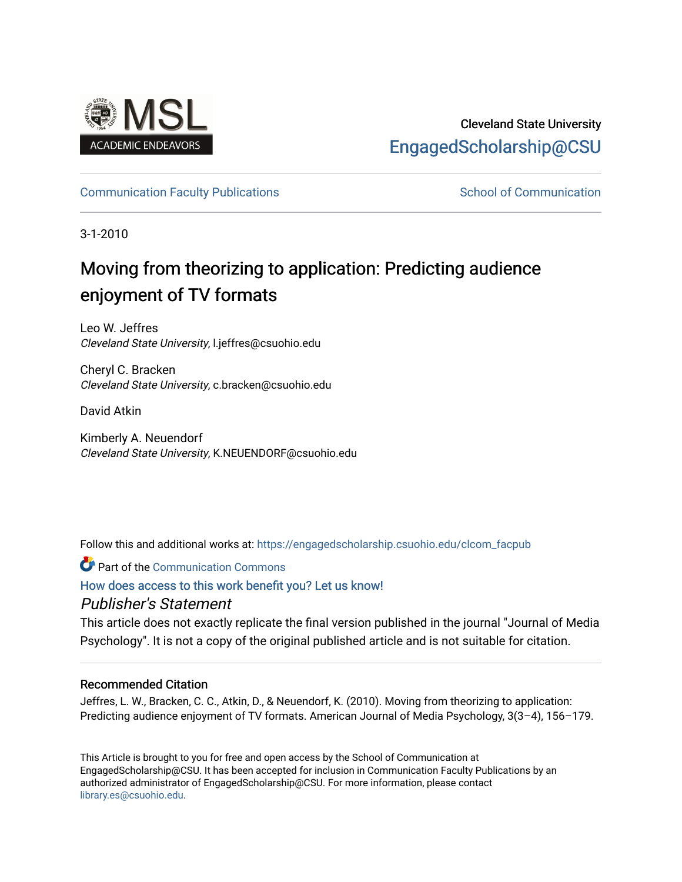

# Cleveland State University [EngagedScholarship@CSU](https://engagedscholarship.csuohio.edu/)

# [Communication Faculty Publications](https://engagedscholarship.csuohio.edu/clcom_facpub) [School of Communication](https://engagedscholarship.csuohio.edu/clcom) School of Communication

3-1-2010

# Moving from theorizing to application: Predicting audience enjoyment of TV formats

Leo W. Jeffres Cleveland State University, l.jeffres@csuohio.edu

Cheryl C. Bracken Cleveland State University, c.bracken@csuohio.edu

David Atkin

Kimberly A. Neuendorf Cleveland State University, K.NEUENDORF@csuohio.edu

Follow this and additional works at: [https://engagedscholarship.csuohio.edu/clcom\\_facpub](https://engagedscholarship.csuohio.edu/clcom_facpub?utm_source=engagedscholarship.csuohio.edu%2Fclcom_facpub%2F34&utm_medium=PDF&utm_campaign=PDFCoverPages) 

**C** Part of the Communication Commons

[How does access to this work benefit you? Let us know!](http://library.csuohio.edu/engaged/)

# Publisher's Statement

This article does not exactly replicate the final version published in the journal "Journal of Media Psychology". It is not a copy of the original published article and is not suitable for citation.

### Recommended Citation

Jeffres, L. W., Bracken, C. C., Atkin, D., & Neuendorf, K. (2010). Moving from theorizing to application: Predicting audience enjoyment of TV formats. American Journal of Media Psychology, 3(3–4), 156–179.

This Article is brought to you for free and open access by the School of Communication at EngagedScholarship@CSU. It has been accepted for inclusion in Communication Faculty Publications by an authorized administrator of EngagedScholarship@CSU. For more information, please contact [library.es@csuohio.edu.](mailto:library.es@csuohio.edu)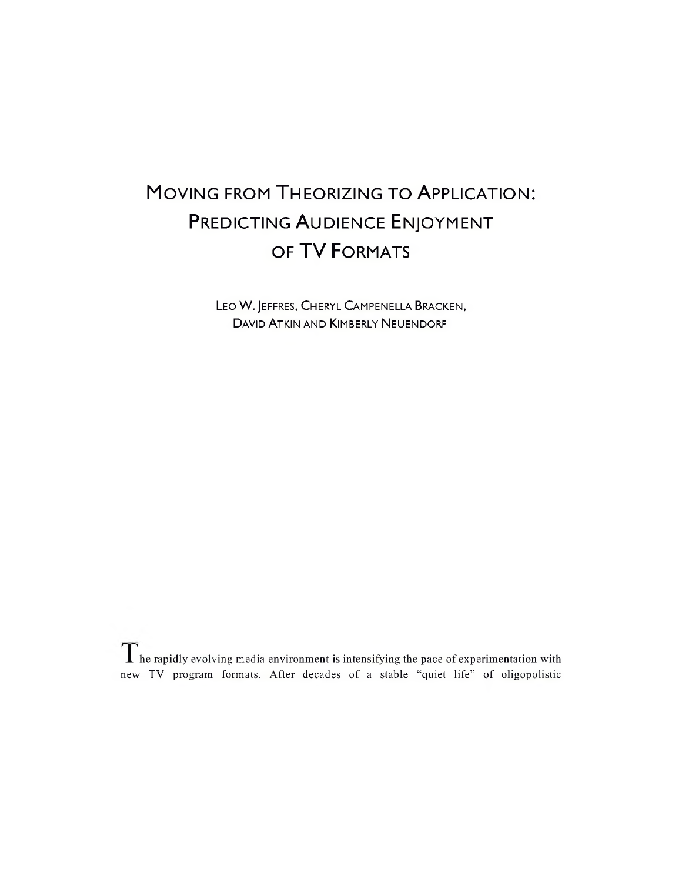# MOVING FROM THEORIZING TO APPLICATION: PREDICTING AUDIENCE ENJOYMENT OF TV FORMATS

Leo W. Jeffres, Cheryl Campenella Bracken, David Atkin and Kimberly Neuendorf

 $\Gamma$  he rapidly evolving media environment is intensifying the pace of experimentation with new TV program formats. After decades of a stable "quiet life" of oligopolistic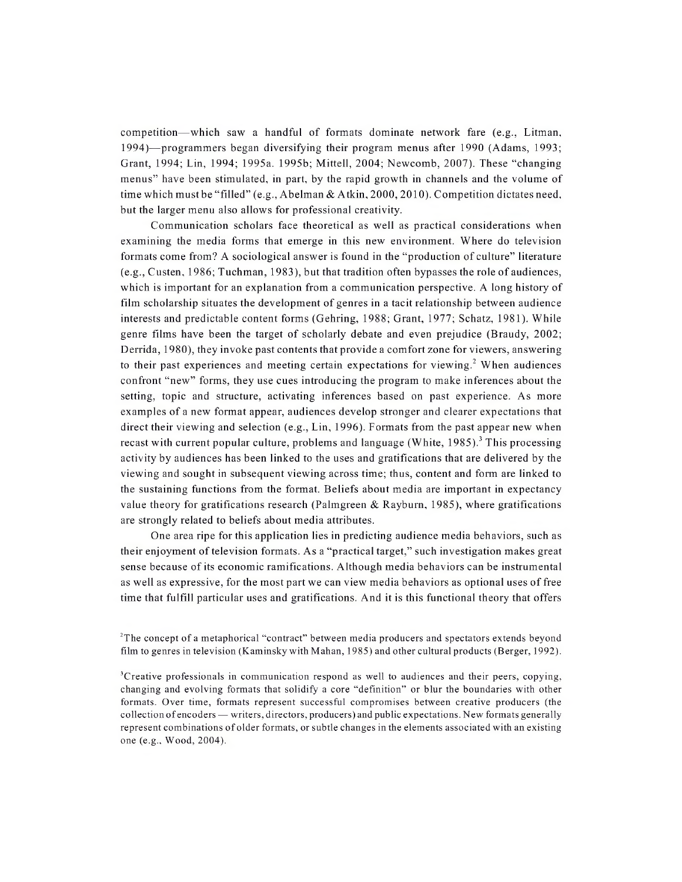competition—which saw a handful of formats dominate network fare (e.g., Litman, 1994)—programmers began diversifying their program menus after 1990 (Adams, 1993; Grant, 1994; Lin, 1994; 1995a. 1995b; Mittell, 2004; Newcomb, 2007). These "changing menus" have been stimulated, in part, by the rapid growth in channels and the volume of time which must be "filled" (e.g., Abelman & Atkin, 2000, 2010). Competition dictates need, but the larger menu also allows for professional creativity.

Communication scholars face theoretical as well as practical considerations when examining the media forms that emerge in this new environment. Where do television formats come from? A sociological answer is found in the "production of culture" literature (e.g., Custen, 1986; Tuchman, 1983), but that tradition often bypasses the role of audiences, which is important for an explanation from a communication perspective. A long history of film scholarship situates the development of genres in a tacit relationship between audience interests and predictable content forms (Gehring, 1988; Grant, 1977; Schatz, 1981). While genre films have been the target of scholarly debate and even prejudice (Braudy, 2002; Derrida, 1980), they invoke past contents that provide a comfort zone for viewers, answering to their past experiences and meeting certain expectations for viewing.<sup>2</sup> When audiences confront "new" forms, they use cues introducing the program to make inferences about the setting, topic and structure, activating inferences based on past experience. As more examples of a new format appear, audiences develop stronger and clearer expectations that direct their viewing and selection (e.g., Lin, 1996). Formats from the past appear new when recast with current popular culture, problems and language (White,  $1985$ ).<sup>3</sup> This processing activity by audiences has been linked to the uses and gratifications that are delivered by the viewing and sought in subsequent viewing across time; thus, content and form are linked to the sustaining functions from the format. Beliefs about media are important in expectancy value theory for gratifications research (Palmgreen & Rayburn, 1985), where gratifications are strongly related to beliefs about media attributes.

One area ripe for this application lies in predicting audience media behaviors, such as their enjoyment of television formats. As a "practical target," such investigation makes great sense because of its economic ramifications. Although media behaviors can be instrumental as well as expressive, for the most part we can view media behaviors as optional uses of free time that fulfill particular uses and gratifications. And it is this functional theory that offers

<sup>&</sup>lt;sup>2</sup>The concept of a metaphorical "contract" between media producers and spectators extends beyond film to genres in television (Kaminsky with Mahan, 1985) and other cultural products (Berger, 1992).

<sup>3</sup>Creative professionals in communication respond as well to audiences and their peers, copying, changing and evolving formats that solidify a core "definition" or blur the boundaries with other formats. Over time, formats represent successful compromises between creative producers (the collection ofencoders — writers, directors, producers) and public expectations. New formats generally represent combinations ofolder formats, or subtle changes in the elements associated with an existing one (e.g.. Wood, 2004).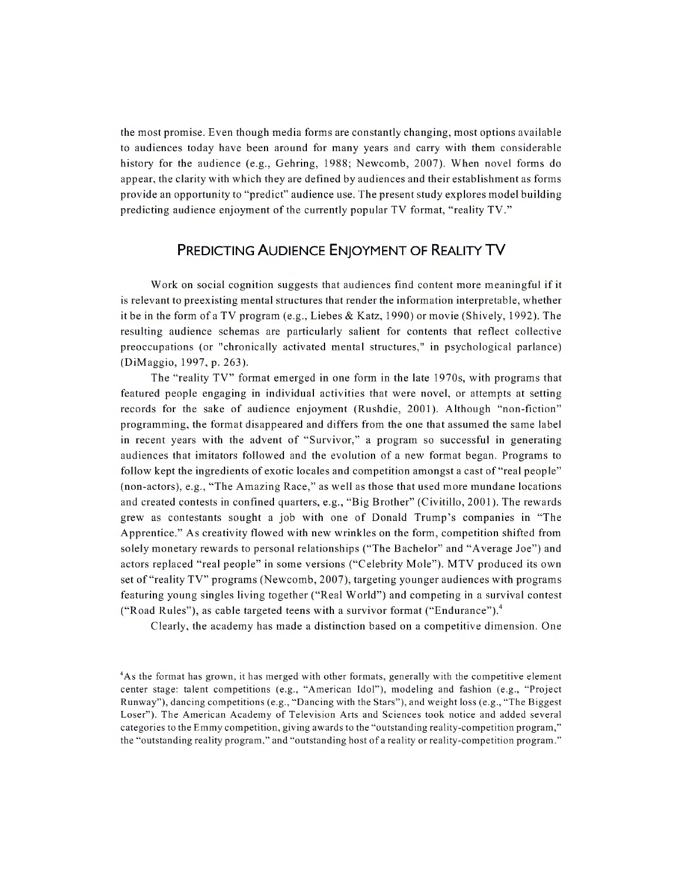the most promise. Even though media forms are constantly changing, most options available to audiences today have been around for many years and carry with them considerable history for the audience (e.g., Gehring, 1988; Newcomb, 2007). When novel forms do appear, the clarity with which they are defined by audiences and their establishment as forms provide an opportunity to "predict" audience use. The present study explores model building predicting audience enjoyment of the currently popular TV format, "reality TV."

# Predicting Audience Enjoyment of Reality TV

Work on social cognition suggests that audiences find content more meaningful if it is relevant to preexisting mental structures that render the information interpretable, whether it be in the form of a TV program (e.g., Liebes & Katz, 1990) or movie (Shively, 1992). The resulting audience schemas are particularly salient for contents that reflect collective preoccupations (or "chronically activated mental structures," in psychological parlance) (DiMaggio, 1997, p. 263).

The "reality TV" format emerged in one form in the late 1970s, with programs that featured people engaging in individual activities that were novel, or attempts at setting records for the sake of audience enjoyment (Rushdie, 2001). Although "non-fiction" programming, the format disappeared and differs from the one that assumed the same label in recent years with the advent of "Survivor," a program so successful in generating audiences that imitators followed and the evolution of a new format began. Programs to follow kept the ingredients of exotic locales and competition amongst a cast of "real people" (non-actors), e.g., "The Amazing Race," as well as those that used more mundane locations and created contests in confined quarters, e.g., "Big Brother" (Civitillo, 2001). The rewards grew as contestants sought a job with one of Donald Trump's companies in "The Apprentice." As creativity flowed with new wrinkles on the form, competition shifted from solely monetary rewards to personal relationships ("The Bachelor" and "Average Joe") and actors replaced "real people" in some versions ("Celebrity Mole"). MTV produced its own set of "reality TV" programs (Newcomb, 2007), targeting younger audiences with programs featuring young singles living together ("Real World") and competing in a survival contest ("Road Rules"), as cable targeted teens with a survivor format ("Endurance").4

Clearly, the academy has made a distinction based on a competitive dimension. One

<sup>4</sup>As the format has grown, it has merged with other formats, generally with the competitive element center stage: talent competitions (e.g., "American Idol"), modeling and fashion (e.g., "Project Runway"), dancing competitions (e.g., "Dancing with the Stars"), and weight loss (e.g., "The Biggest Loser"). The American Academy of Television Arts and Sciences took notice and added several categories to the Emmy competition, giving awards to the "outstanding reality-competition program," the "outstanding reality program," and "outstanding host of a reality or reality-competition program."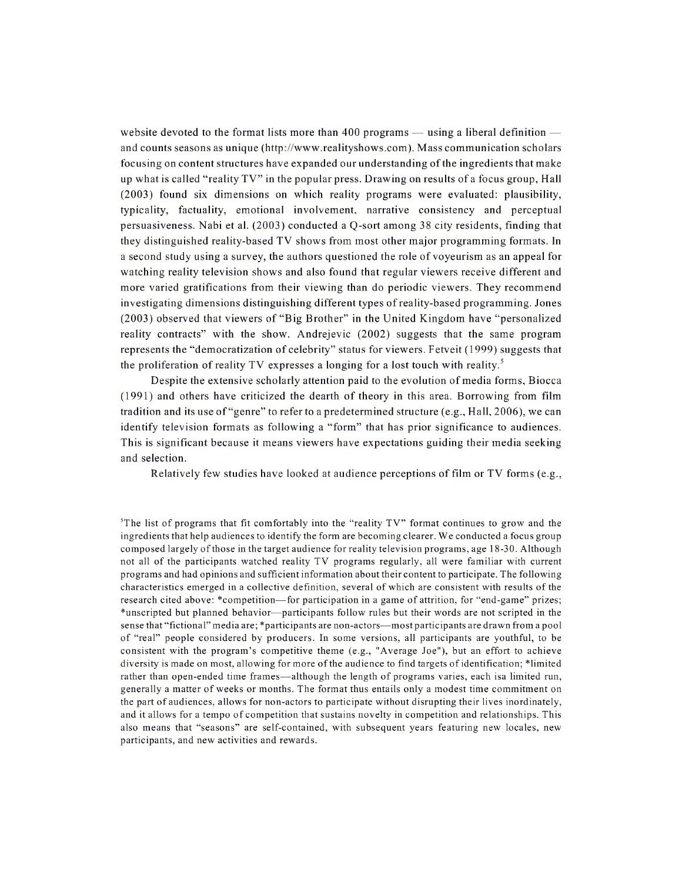website devoted to the format lists more than 400 programs — using a liberal definition and counts seasons as unique [\(http://www.realityshows.com](http://www.realityshows.com)). Mass communication scholars focusing on content structures have expanded our understanding of the ingredients that make up what is called "reality TV" in the popular press. Drawing on results of a focus group. Hall (2003) found six dimensions on which reality programs were evaluated: plausibility, typicality, factuality, emotional involvement, narrative consistency and perceptual persuasiveness. Nabi et al. (2003) conducted a Q-sort among 38 city residents, finding that they distinguished reality-based TV shows from most other major programming formats. In a second study using a survey, the authors questioned the role of voyeurism as an appeal for watching reality television shows and also found that regular viewers receive different and more varied gratifications from their viewing than do periodic viewers. They recommend investigating dimensions distinguishing different types ofreality-based programming. Jones (2003) observed that viewers of "Big Brother" in the United Kingdom have "personalized reality contracts" with the show. Andrejevic (2002) suggests that the same program represents the "democratization of celebrity" status for viewers. Fetveit (1999) suggests that the proliferation of reality TV expresses a longing for a lost touch with reality.<sup>5</sup>

Despite the extensive scholarly attention paid to the evolution of media forms, Biocca (1991) and others have criticized the dearth of theory in this area. Borrowing from film tradition and its use of "genre" to refer to a predetermined structure (e.g., Hall, 2006), we can identify television formats as following a "form" that has prior significance to audiences. This is significant because it means viewers have expectations guiding their media seeking and selection.

Relatively few studies have looked at audience perceptions of film or TV forms (e.g.,

 ${}^{5}$ The list of programs that fit comfortably into the "reality TV" format continues to grow and the ingredients that help audiences to identify the form are becoming clearer. We conducted a focus group composed largely ofthose in the target audience for reality television programs, age 18-30. Although not all of the participants watched reality TV programs regularly, all were familiar with current programs and had opinions and sufficient information about their content to participate. The following characteristics emerged in a collective definition, several of which are consistent with results of the research cited above: \*competition—for participation in a game of attrition, for "end-game" prizes; \*unscripted but planned behavior—participants follow rules but their words are not scripted in the sense that "fictional" media are; \*participants are non-actors—mostparticipants are drawn from a pool of "real" people considered by producers. In some versions, all participants are youthful, to be consistent with the program's competitive theme (e.g., "Average Joe"), but an effort to achieve diversity is made on most, allowing for more ofthe audience to find targets ofidentification; 'limited rather than open-ended time frames—although the length of programs varies, each isa limited run, generally a matter of weeks or months. The format thus entails only a modest time commitment on the part of audiences, allows for non-actors to participate without disrupting their lives inordinately, and it allows for a tempo of competition that sustains novelty in competition and relationships. This also means that "seasons" are self-contained, with subsequent years featuring new locales, new participants, and new activities and rewards.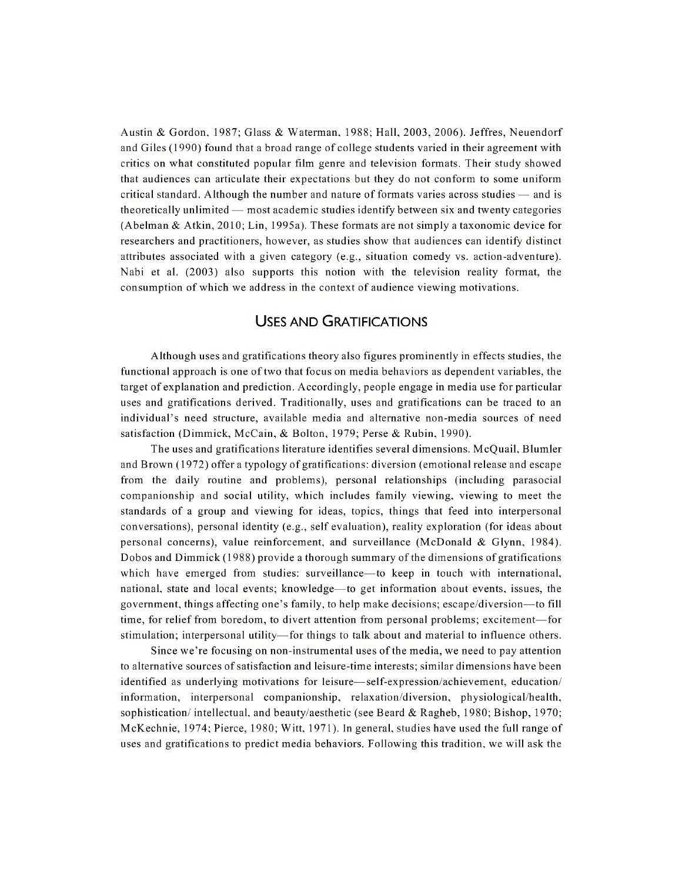Austin & Gordon, 1987; Glass & Waterman, 1988; Hall, 2003, 2006). Jeffres, Neuendorf and Giles (1990) found that a broad range of college students varied in their agreement with critics on what constituted popular film genre and television formats. Their study showed that audiences can articulate their expectations but they do not conform to some uniform critical standard. Although the number and nature of formats varies across studies — and is theoretically unlimited — most academic studies identify between six and twenty categories (Abelman & Atkin, 2010; Lin, 1995a). These formats are not simply a taxonomic device for researchers and practitioners, however, as studies show that audiences can identify distinct attributes associated with a given category (e.g., situation comedy vs. action-adventure). Nabi et al. (2003) also supports this notion with the television reality format, the consumption of which we address in the context of audience viewing motivations.

## Uses and Gratifications

Although uses and gratifications theory also figures prominently in effects studies, the functional approach is one oftwo that focus on media behaviors as dependent variables, the target of explanation and prediction. Accordingly, people engage in media use for particular uses and gratifications derived. Traditionally, uses and gratifications can be traced to an individual's need structure, available media and alternative non-media sources of need satisfaction (Dimmick, McCain, & Bolton, 1979; Perse & Rubin, 1990).

The uses and gratifications literature identifies several dimensions. McQuail, Blumler and Brown (1972) offer a typology of gratifications: diversion (emotional release and escape from the daily routine and problems), personal relationships (including parasocial companionship and social utility, which includes family viewing, viewing to meet the standards of a group and viewing for ideas, topics, things that feed into interpersonal conversations), personal identity (e.g., self evaluation), reality exploration (for ideas about personal concerns), value reinforcement, and surveillance (McDonald & Glynn, 1984). Dobos and Dimmick (1988) provide a thorough summary of the dimensions of gratifications which have emerged from studies: surveillance—to keep in touch with international, national, state and local events; knowledge—to get information about events, issues, the government, things affecting one's family, to help make decisions; escape/diversion—to fill time, for relief from boredom, to divert attention from personal problems; excitement—for stimulation; interpersonal utility—for things to talk about and material to influence others.

Since we're focusing on non-instrumental uses ofthe media, we need to pay attention to alternative sources ofsatisfaction and leisure-time interests; similar dimensions have been identified as underlying motivations for leisure—self-expression/achievement, education/ information, interpersonal companionship, relaxation/diversion, physiological/health, sophistication/ intellectual, and beauty/aesthetic (see Beard & Ragheb, 1980; Bishop, 1970; McKechnie, 1974; Pierce, 1980; Witt, 1971). In general, studies have used the full range of uses and gratifications to predict media behaviors. Following this tradition, we will ask the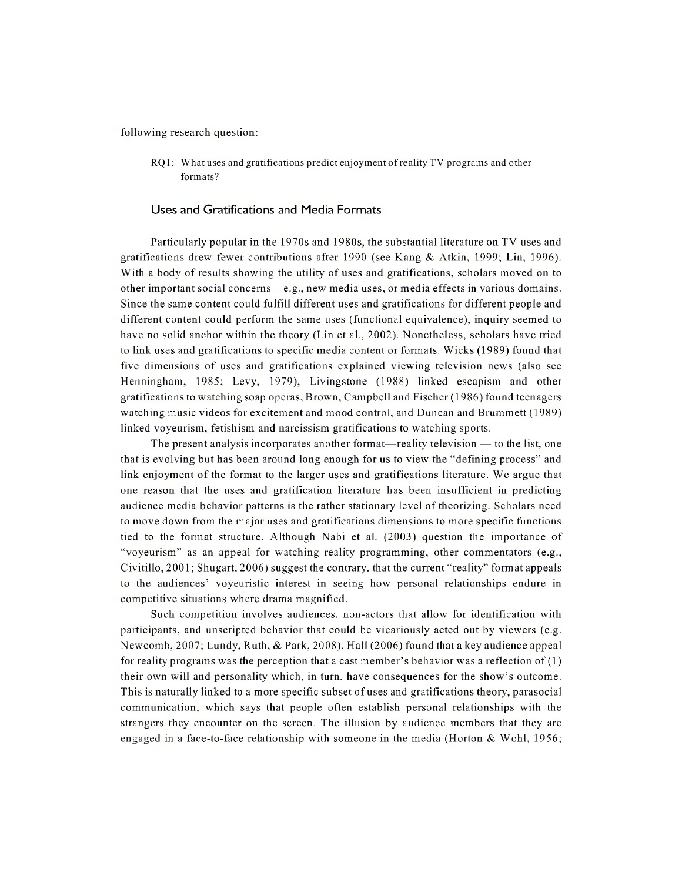following research question:

RQ1: What uses and gratifications predict enjoyment ofreality TV programs and other formats?

#### Uses and Gratifications and Media Formats

Particularly popular in the 1970s and 1980s, the substantial literature on TV uses and gratifications drew fewer contributions after 1990 (see Kang & Atkin, 1999; Lin, 1996). With a body of results showing the utility of uses and gratifications, scholars moved on to other important social concerns—e.g., new media uses, or media effects in various domains. Since the same content could fulfill different uses and gratifications for different people and different content could perform the same uses (functional equivalence), inquiry seemed to have no solid anchor within the theory (Lin et al., 2002). Nonetheless, scholars have tried to link uses and gratifications to specific media content or formats. Wicks (1989) found that five dimensions of uses and gratifications explained viewing television news (also see Henningham, 1985; Levy, 1979), Livingstone (1988) linked escapism and other gratifications to watching soap operas, Brown, Campbell and Fischer (1986) found teenagers watching music videos for excitement and mood control, and Duncan and Brummett (1989) linked voyeurism, fetishism and narcissism gratifications to watching sports.

The present analysis incorporates another format—reality television — to the list, one that is evolving but has been around long enough for us to view the "defining process" and link enjoyment of the format to the larger uses and gratifications literature. We argue that one reason that the uses and gratification literature has been insufficient in predicting audience media behavior patterns is the rather stationary level of theorizing. Scholars need to move down from the major uses and gratifications dimensions to more specific functions tied to the format structure. Although Nabi et al. (2003) question the importance of "voyeurism" as an appeal for watching reality programming, other commentators (e.g., Civitillo, 2001; Shugart, 2006) suggest the contrary, that the current "reality" format appeals to the audiences' voyeuristic interest in seeing how personal relationships endure in competitive situations where drama magnified.

Such competition involves audiences, non-actors that allow for identification with participants, and unscripted behavior that could be vicariously acted out by viewers (e.g. Newcomb, 2007; Lundy, Ruth, & Park, 2008). Hall (2006) found that a key audience appeal for reality programs was the perception that a cast member's behavior was a reflection of  $(1)$ their own will and personality which, in turn, have consequences for the show's outcome. This is naturally linked to a more specific subset of uses and gratifications theory, parasocial communication, which says that people often establish personal relationships with the strangers they encounter on the screen. The illusion by audience members that they are engaged in a face-to-face relationship with someone in the media (Horton  $\&$  Wohl, 1956;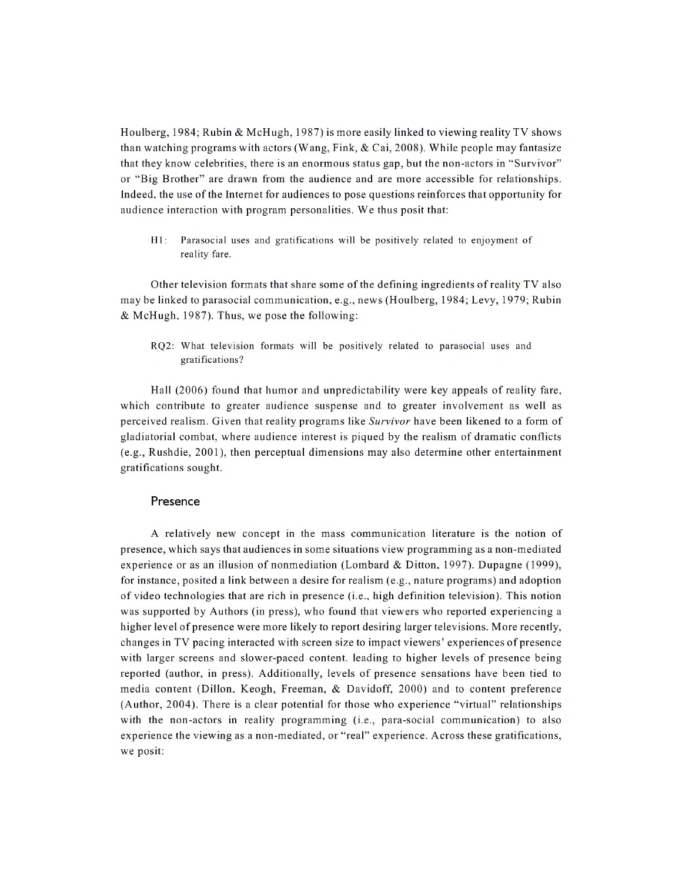Houlberg, 1984; Rubin & McHugh, 1987) is more easily linked to viewing reality TV shows than watching programs with actors (Wang, Fink,  $& Cai$ , 2008). While people may fantasize that they know celebrities, there is an enormous status gap, but the non-actors in "Survivor" or "Big Brother" are drawn from the audience and are more accessible for relationships. Indeed, the use ofthe Internet for audiences to pose questions reinforces that opportunity for audience interaction with program personalities. We thus posit that:

Hl: Parasocial uses and gratifications will be positively related to enjoyment of reality fare.

Other television formats that share some of the defining ingredients of reality TV also may be linked to parasocial communication, e.g., news (Houlberg, 1984; Levy, 1979; Rubin & McHugh, 1987). Thus, we pose the following:

RQ2: What television formats will be positively related to parasocial uses and gratifications?

Hall (2006) found that humor and unpredictability were key appeals of reality fare, which contribute to greater audience suspense and to greater involvement as well as perceived realism. Given that reality programs like *Survivor* have been likened to a form of gladiatorial combat, where audience interest is piqued by the realism of dramatic conflicts (e.g., Rushdie, 2001), then perceptual dimensions may also determine other entertainment gratifications sought.

#### Presence

A relatively new concept in the mass communication literature is the notion of presence, which says that audiences in some situations view programming as a non-mediated experience or as an illusion of nonmediation (Lombard & Ditton, 1997). Dupagne (1999), for instance, posited a link between a desire for realism (e.g., nature programs) and adoption of video technologies that are rich in presence (i.e., high definition television). This notion was supported by Authors (in press), who found that viewers who reported experiencing a higher level of presence were more likely to report desiring larger televisions. More recently, changes in TV pacing interacted with screen size to impact viewers' experiences of presence with larger screens and slower-paced content, leading to higher levels of presence being reported (author, in press). Additionally, levels of presence sensations have been tied to media content (Dillon, Keogh, Freeman, & Davidoff, 2000) and to content preference (Author, 2004). There is a clear potential for those who experience "virtual" relationships with the non-actors in reality programming (i.e., para-social communication) to also experience the viewing as a non-mediated, or "real" experience. Across these gratifications, we posit: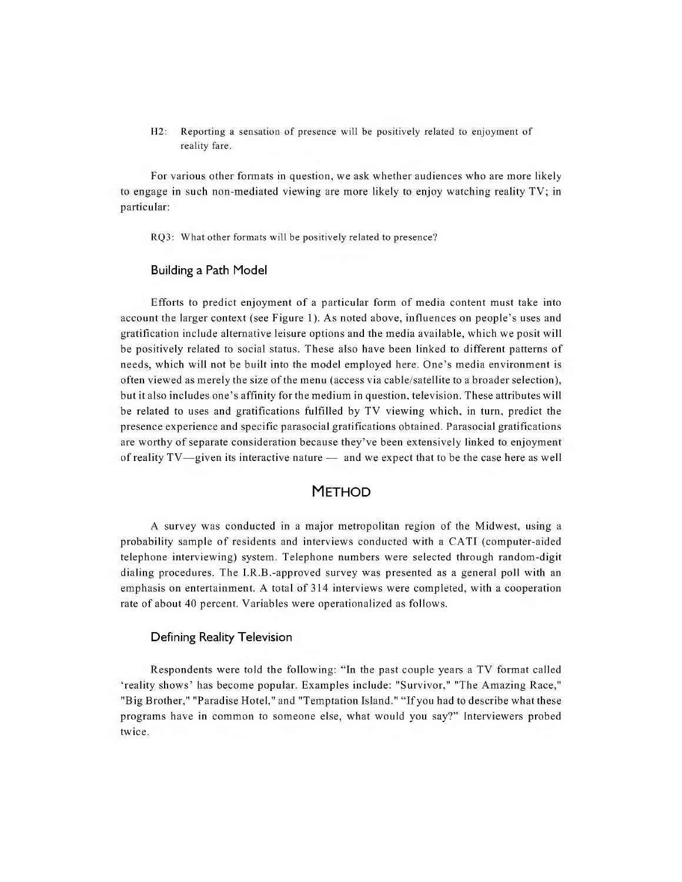H2: Reporting a sensation of presence will be positively related to enjoyment of reality fare.

For various other formats in question, we ask whether audiences who are more likely to engage in such non-mediated viewing are more likely to enjoy watching reality TV; in particular:

RQ3: What other formats will be positively related to presence?

#### Building a Path Model

Efforts to predict enjoyment of a particular form of media content must take into account the larger context (see Figure 1). As noted above, influences on people's uses and gratification include alternative leisure options and the media available, which we posit will be positively related to social status. These also have been linked to different patterns of needs, which will not be built into the model employed here. One's media environment is often viewed as merely the size ofthe menu (access via cable/satellite to a broader selection), but it also includes one's affinity for the medium in question, television. These attributes will be related to uses and gratifications fulfilled by TV viewing which, in turn, predict the presence experience and specific parasocial gratifications obtained. Parasocial gratifications are worthy of separate consideration because they've been extensively linked to enjoyment ofreality TV—given its interactive nature — and we expect that to be the case here as well

# **METHOD**

A survey was conducted in a major metropolitan region of the Midwest, using a probability sample of residents and interviews conducted with a CATI (computer-aided telephone interviewing) system. Telephone numbers were selected through random-digit dialing procedures. The I.R.B.-approved survey was presented as a general poll with an emphasis on entertainment. A total of 314 interviews were completed, with a cooperation rate of about 40 percent. Variables were operationalized as follows.

#### Defining Reality Television

Respondents were told the following: "In the past couple years a TV format called 'reality shows' has become popular. Examples include: "Survivor," "The Amazing Race," "Big Brother," "Paradise Hotel," and "Temptation Island." "Ifyou had to describe what these programs have in common to someone else, what would you say?" Interviewers probed twice.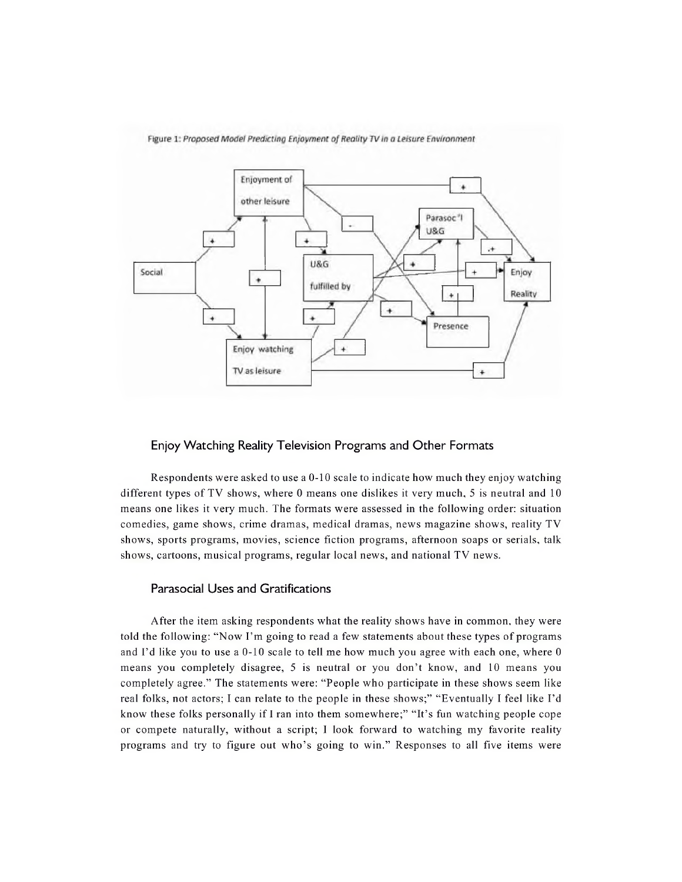

Figure 1: Proposed Model Predicting Enjoyment of Reality TV in a Leisure Environment

#### Enjoy Watching Reality Television Programs and Other Formats

Respondents were asked to use a 0-10 scale to indicate how much they enjoy watching different types of TV shows, where 0 means one dislikes it very much, 5 is neutral and 10 means one likes it very much. The formats were assessed in the following order: situation comedies, game shows, crime dramas, medical dramas, news magazine shows, reality TV shows, sports programs, movies, science fiction programs, afternoon soaps or serials, talk shows, cartoons, musical programs, regular local news, and national TV news.

#### Parasocial Uses and Gratifications

After the item asking respondents what the reality shows have in common, they were told the following: "Now I'm going to read <sup>a</sup> few statements about these types of programs and I'd like you to use a 0-10 scale to tell me how much you agree with each one, where 0 means you completely disagree, 5 is neutral or you don't know, and 10 means you completely agree." The statements were: "People who participate in these shows seem like real folks, not actors; <sup>I</sup> can relate to the people in these shows;" "Eventually <sup>I</sup> feel like I'd know these folks personally if I ran into them somewhere;" "It's fun watching people cope or compete naturally, without a script; I look forward to watching my favorite reality programs and try to figure out who's going to win." Responses to all five items were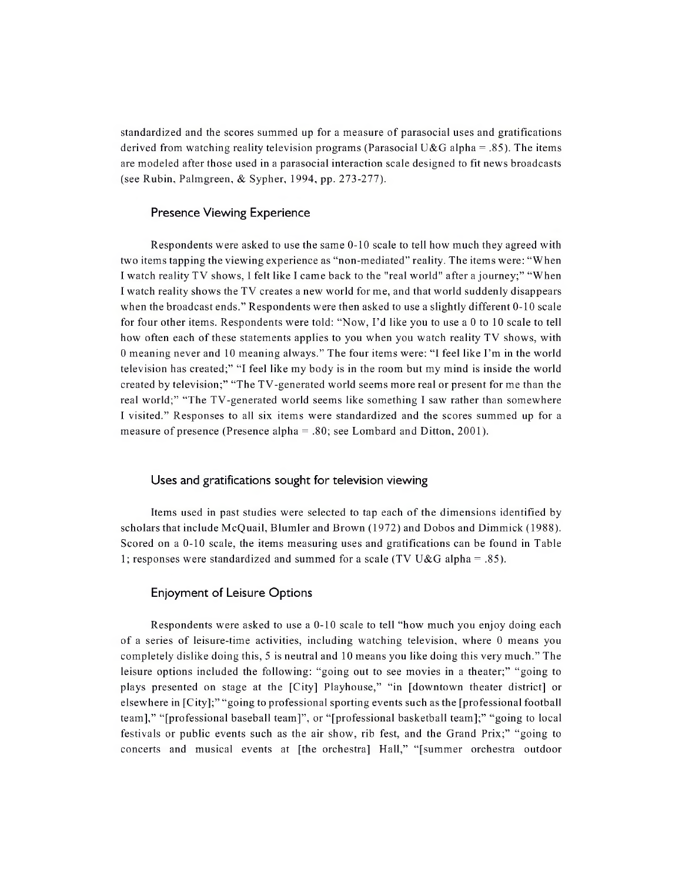standardized and the scores summed up for a measure of parasocial uses and gratifications derived from watching reality television programs (Parasocial U&G alpha = .85). The items are modeled after those used in a parasocial interaction scale designed to fit news broadcasts (see Rubin, Palmgreen, & Sypher, 1994, pp. 273-277).

#### Presence Viewing Experience

Respondents were asked to use the same 0-10 scale to tell how much they agreed with two items tapping the viewing experience as "non-mediated" reality. The items were: "When I watch reality TV shows, I felt like I came back to the "real world" after a journey;" "When I watch reality shows the TV creates a new world for me, and that world suddenly disappears when the broadcast ends." Respondents were then asked to use a slightly different 0-10 scale for four other items. Respondents were told: "Now, I'd like you to use a <sup>0</sup> to 10 scale to tell how often each of these statements applies to you when you watch reality TV shows, with <sup>0</sup> meaning never and <sup>10</sup> meaning always." The four items were: "I feel like I'm in the world television has created;" "I feel like my body is in the room but my mind is inside the world created by television;" "The TV-generated world seems more real or present for me than the real world;" "The TV-generated world seems like something I saw rather than somewhere I visited." Responses to all six items were standardized and the scores summed up for a measure of presence (Presence alpha = .80; see Lombard and Ditton, 2001).

#### Uses and gratifications sought for television viewing

Items used in past studies were selected to tap each of the dimensions identified by scholars that include McQuail, Blumler and Brown (1972) and Dobos and Dimmick (1988). Scored on a 0-10 scale, the items measuring uses and gratifications can be found in Table 1; responses were standardized and summed for a scale (TV U&G alpha = .85).

#### Enjoyment of Leisure Options

Respondents were asked to use a 0-10 scale to tell "how much you enjoy doing each of a series of leisure-time activities, including watching television, where 0 means you completely dislike doing this, 5 is neutral and 10 means you like doing this very much." The leisure options included the following: "going out to see movies in a theater;" "going to plays presented on stage at the [City] Playhouse," "in [downtown theater district] or elsewhere in [City];" "going to professional sporting events such as the [professional football team]," "[professional baseball team]", or "[professional basketball team];" "going to local festivals or public events such as the air show, rib fest, and the Grand Prix;" "going to concerts and musical events at [the orchestra] Hall," "[summer orchestra outdoor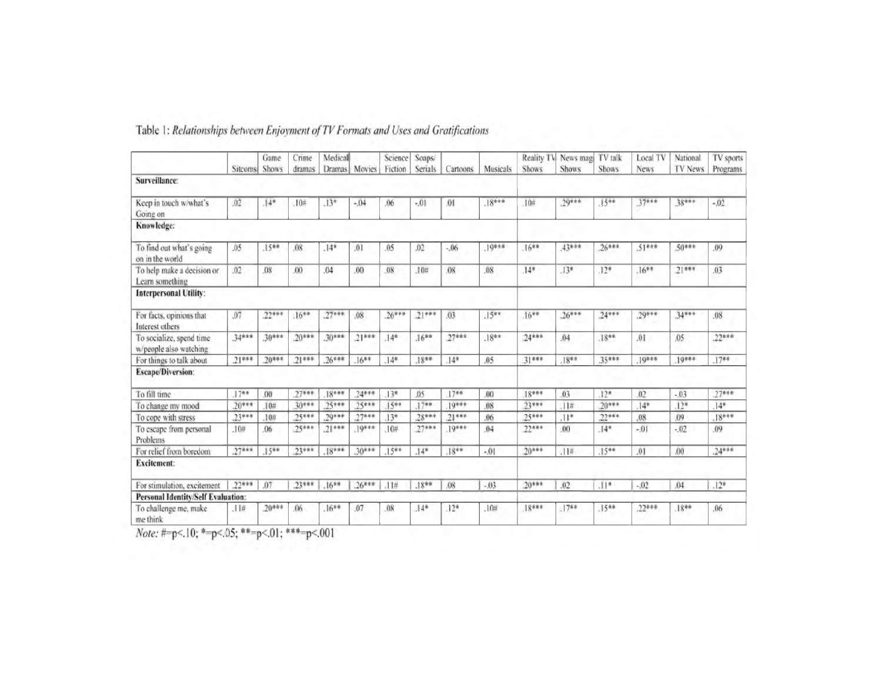|                                                    |          | Game             | Crime   | Medical       |          | Science         | Soaps/   |          |          |          | Reality TV News mag | TV talk            | Local TV    | National | TV sports |
|----------------------------------------------------|----------|------------------|---------|---------------|----------|-----------------|----------|----------|----------|----------|---------------------|--------------------|-------------|----------|-----------|
|                                                    | Sitcoms  | <b>Shows</b>     | dramas  | <b>Dramas</b> | Movies   | Fiction         | Serials  | Cartoons | Musicals | Shows    | <b>Shows</b>        | <b>Shows</b>       | <b>News</b> | TV News  | Programs  |
| Surveillance:                                      |          |                  |         |               |          |                 |          |          |          |          |                     |                    |             |          |           |
| Keep in touch w/what's<br>Going on                 | .02      | $.14*$           | .10#    | $.13*$        | $-0.04$  | .06             | $-01$    | .01      | $18***$  | 10#      | $.29***$            | 15**               | 37***       | 38***    | $-.02$    |
| Knowledge:                                         |          |                  |         |               |          |                 |          |          |          |          |                     |                    |             |          |           |
| To find out what's going<br>on in the world        | .05      | $.15**$          | .08     | $14*$         | 01       | .05             | .02      | $-06$    | 19***    | $16**$   | 43***               | $26***$            | $.51***$    | $.50***$ | .09       |
| To help make a decision or<br>Learn something      | .02      | .08              | .00     | .04           | .00.     | .08             | .10#     | .08      | .08      | $.14*$   | $13*$               | $12*$              | $.16**$     | $21***$  | .03       |
| <b>Interpersonal Utility:</b>                      |          |                  |         |               |          |                 |          |          |          |          |                     |                    |             |          |           |
| For facts, opinions that<br>Interest others        | .07      | $.22***$         | $16***$ | $.27***$      | .08      | $26***$         | $21***$  | .03      | $.15**$  | $16**$   | $26***$             | $24***$            | $29***$     | 34***    | 08        |
| To socialize, spend time<br>w/people also watching | 34***    | $.30***$         | $20***$ | $30***$       | $.21***$ | $14*$           | $16***$  | $27***$  | $.18**$  | $.24***$ | .04                 | $18**$             | .01         | .05      | $22***$   |
| For things to talk about                           | $21***$  | $20***$          | $21***$ | $26***$       | $16***$  | 14 <sup>8</sup> | $18**$   | $14*$    | .05      | $31***$  | $18**$              | 35***              | $19***$     | $10***$  | $17**$    |
| <b>Escape/Diversion:</b>                           |          |                  |         |               |          |                 |          |          |          |          |                     |                    |             |          |           |
| To fill time                                       | $.17**$  | .00 <sub>0</sub> | $27***$ | $18***$       | $24***$  | $13*$           | .05      | $17**$   | .00      | $.18***$ | .03                 | $12*$              | .02         | $-03$    | $27***$   |
| To change my mood                                  | $.20***$ | .10#             | 30***   | 25***         | $25***$  | $15**$          | $17**$   | $10***$  | .08      | $23***$  | .11#                | $20***$            | $.14*$      | $12*$    | $14*$     |
| To cope with stress                                | $.23***$ | .10#             | $25***$ | $79***$       | $27***$  | $13*$           | $28***$  | $21***$  | .06      | $25***$  | $.11*$              | $22***$            | .08         | .09      | $18***$   |
| To escape from personal<br>Problems                | .10#     | $.06 -$          | $25***$ | $21***$       | $10***$  | 10#             | $27***$  | $10***$  | 04       | 22***    | $00 -$              | $14*$              | $-01$       | $-02$    | .09       |
| For relief from boredom                            | $.27***$ | $15**$           | $23***$ | 18***         | $30***$  | $15**$          | $.14*$   | $.18***$ | $-.01$   | $.20***$ | .11%                | $15**$             | .01         | .00      | $.24***$  |
| <b>Excitement:</b>                                 |          |                  |         |               |          |                 |          |          |          |          |                     |                    |             |          |           |
| For stimulation, excitement                        | $.22***$ | .07              | .23***  | $.16**$       | $.26***$ | .11#            | $.18***$ | .08      | $-.03$   | $20***$  | .02                 | $(1)$ <sup>*</sup> | $-.02$      | .04      | $.12*$    |
| <b>Personal Identity/Self Evaluation:</b>          |          |                  |         |               |          |                 |          |          |          |          |                     |                    |             |          |           |
| To challenge me, make<br>me think                  | .11#     | $.20***$         | .06     | $16**$        | .07      | .08             | $.14*$   | $.12*$   | 10#      | $18***$  | $.17**$             | $15**$             | $.22***$    | $18**$   | .06       |

# Table 1: Relationships between Enjoyment of TV Formats and Uses and Gratifications

Note: #=p<.10; \*=p<.05; \*\*=p<.01; \*\*\*=p<.001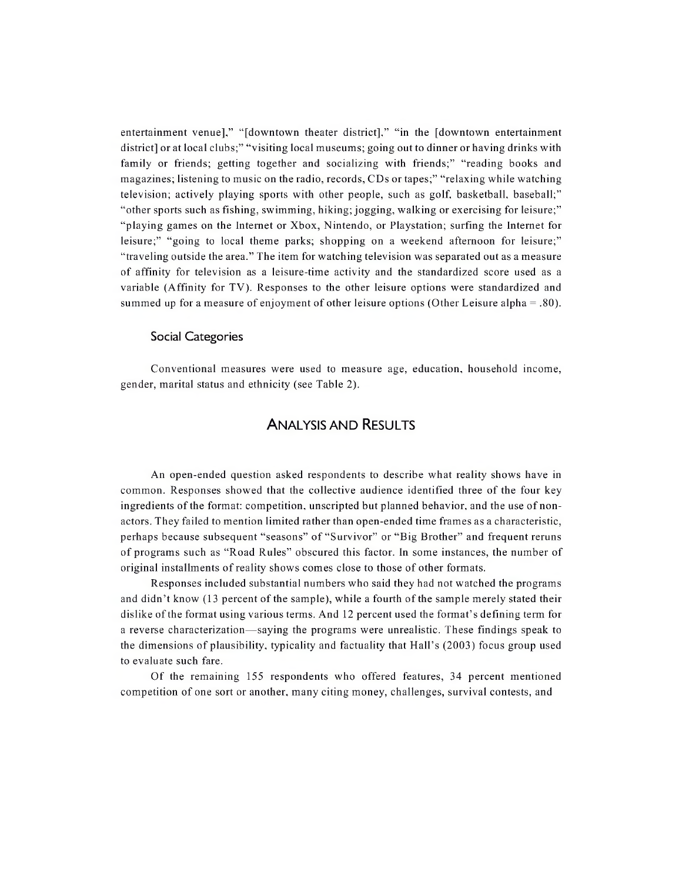entertainment venue]," "[downtown theater district]," "in the [downtown entertainment district] or at local clubs;" "visiting local museums; going out to dinner or having drinks with family or friends; getting together and socializing with friends;" "reading books and magazines; listening to music on the radio, records, CDs or tapes;" "relaxing while watching television; actively playing sports with other people, such as golf, basketball, baseball;" "other sports such as fishing, swimming, hiking; jogging, walking or exercising for leisure;" "playing games on the Internet or Xbox, Nintendo, or Playstation; surfing the Internet for leisure;" "going to local theme parks; shopping on a weekend afternoon for leisure;" "traveling outside the area." The item for watching television was separated out as a measure of affinity for television as a leisure-time activity and the standardized score used as a variable (Affinity for TV). Responses to the other leisure options were standardized and summed up for a measure of enjoyment of other leisure options (Other Leisure alpha = .80).

#### Social Categories

Conventional measures were used to measure age, education, household income, gender, marital status and ethnicity (see Table 2).

### Analysis and Results

An open-ended question asked respondents to describe what reality shows have in common. Responses showed that the collective audience identified three of the four key ingredients ofthe format: competition, unscripted but planned behavior, and the use of nonactors. They failed to mention limited rather than open-ended time frames as a characteristic, perhaps because subsequent "seasons" of "Survivor" or "Big Brother" and frequent reruns of programs such as "Road Rules" obscured this factor. In some instances, the number of original installments ofreality shows comes close to those of other formats.

Responses included substantial numbers who said they had not watched the programs and didn't know (13 percent of the sample), while a fourth of the sample merely stated their dislike ofthe format using various terms. And 12 percent used the format's defining term for a reverse characterization—saying the programs were unrealistic. These findings speak to the dimensions of plausibility, typicality and factuality that Hall's (2003) focus group used to evaluate such fare.

Of the remaining 155 respondents who offered features, 34 percent mentioned competition of one sort or another, many citing money, challenges, survival contests, and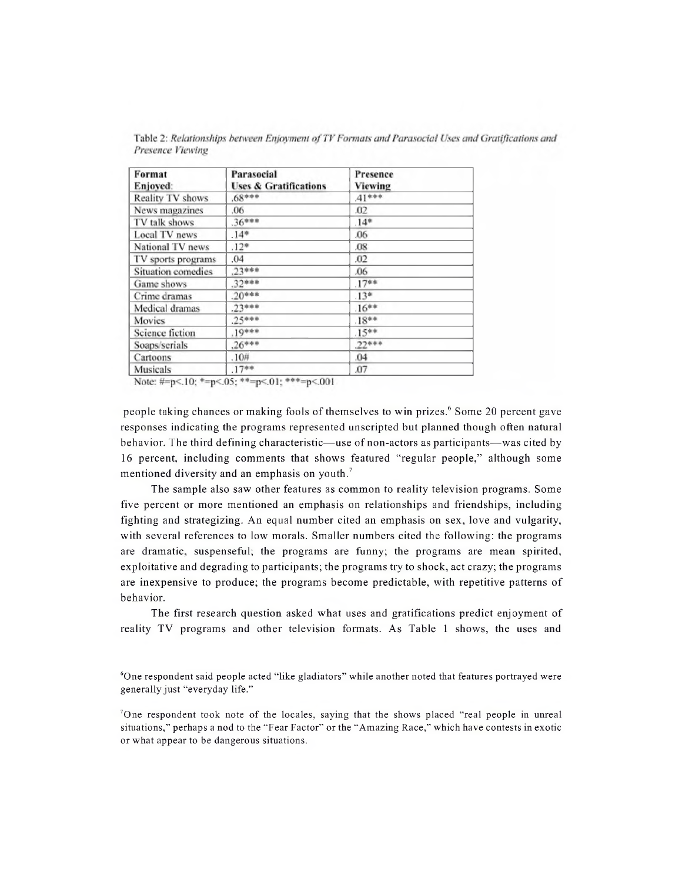| Format<br>Enjoyed: | Parasocial<br><b>Uses &amp; Gratifications</b> | Presence<br>Viewing |  |
|--------------------|------------------------------------------------|---------------------|--|
| Reality TV shows   | $68***$                                        | $41***$             |  |
| News magazines     | .06                                            | .02                 |  |
| TV talk shows      | $36***$                                        | $.14*$              |  |
| Local TV news      | $14*$                                          | .06                 |  |
| National TV news   | $.12*$                                         | .08                 |  |
| TV sports programs | .04                                            | .02                 |  |
| Situation comedies | $23***$                                        | .06                 |  |
| Game shows         | $32***$                                        | $.17**$             |  |
| Crime dramas       | $20***$                                        | $13*$               |  |
| Medical dramas     | $23***$                                        | $16***$             |  |
| Movies             | $25***$                                        | $18**$              |  |
| Science fiction    | $.19***$                                       | $15***$             |  |
| Soaps/serials      | $.26***$                                       | $22***$             |  |
| Cartoons           | .10#                                           | .04                 |  |
| Musicals           | $17**$                                         | .07                 |  |

Table 2: Relationships between Enjoyment of TV Formats and Parasocial Uses and Gratifications and Presence Viewing

Note: #=p<.10; \*=p<.05; \*\*=p<.01; \*\*\*=p<.001

people taking chances or making fools of themselves to win prizes.<sup>6</sup> Some 20 percent gave responses indicating the programs represented unscripted but planned though often natural behavior. The third defining characteristic—use of non-actors as participants—was cited by 16 percent, including comments that shows featured "regular people," although some mentioned diversity and an emphasis on youth.<sup>7</sup>

The sample also saw other features as common to reality television programs. Some five percent or more mentioned an emphasis on relationships and friendships, including fighting and strategizing. An equal number cited an emphasis on sex, love and vulgarity, with several references to low morals. Smaller numbers cited the following: the programs are dramatic, suspenseful; the programs are funny; the programs are mean spirited, exploitative and degrading to participants; the programs try to shock, act crazy; the programs are inexpensive to produce; the programs become predictable, with repetitive patterns of behavior.

The first research question asked what uses and gratifications predict enjoyment of reality TV programs and other television formats. As Table <sup>1</sup> shows, the uses and

6One respondent said people acted "like gladiators" while another noted that features portrayed were generally just "everyday life."

'One respondent took note of the locales, saying that the shows placed "real people in unreal situations," perhaps a nod to the "Fear Factor" or the "Amazing Race," which have contests in exotic or what appear to be dangerous situations.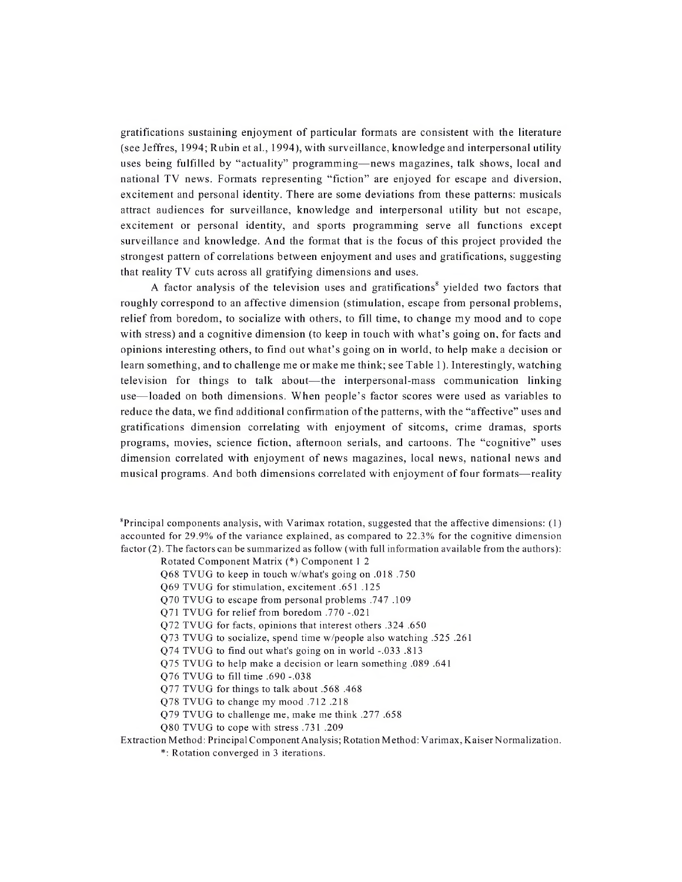gratifications sustaining enjoyment of particular formats are consistent with the literature (see Jeffres, 1994; Rubin et al., 1994), with surveillance, knowledge and interpersonal utility uses being fulfilled by "actuality" programming—news magazines, talk shows, local and national TV news. Formats representing "fiction" are enjoyed for escape and diversion, excitement and personal identity. There are some deviations from these patterns: musicals attract audiences for surveillance, knowledge and interpersonal utility but not escape, excitement or personal identity, and sports programming serve all functions except surveillance and knowledge. And the format that is the focus of this project provided the strongest pattern of correlations between enjoyment and uses and gratifications, suggesting that reality TV cuts across all gratifying dimensions and uses.

A factor analysis of the television uses and gratifications<sup>8</sup> yielded two factors that roughly correspond to an affective dimension (stimulation, escape from personal problems, relief from boredom, to socialize with others, to fill time, to change my mood and to cope with stress) and a cognitive dimension (to keep in touch with what's going on, for facts and opinions interesting others, to find out what's going on in world, to help make a decision or learn something, and to challenge me or make me think; see Table 1). Interestingly, watching television for things to talk about—the interpersonal-mass communication linking use—loaded on both dimensions. When people's factor scores were used as variables to reduce the data, we find additional confirmation ofthe patterns, with the "affective" uses and gratifications dimension correlating with enjoyment of sitcoms, crime dramas, sports programs, movies, science fiction, afternoon serials, and cartoons. The "cognitive" uses dimension correlated with enjoyment of news magazines, local news, national news and musical programs. And both dimensions correlated with enjoyment offour formats—reality

 ${}^{8}$ Principal components analysis, with Varimax rotation, suggested that the affective dimensions: (1) accounted for 29.9% of the variance explained, as compared to 22.3% for the cognitive dimension factor (2). The factors can be summarized as follow (with full information available from the authors):

Rotated Component Matrix (\*) Component <sup>1</sup> 2

Q68 TVUG to keep in touch w/what's going on .018 .750

Q69 TVUG for stimulation, excitement .651 .125

Q70 TVUG to escape from personal problems .747 .109

Q71 TVUG for relief from boredom .770 -.021

Q72 TVUG for facts, opinions that interest others .324 .650

Q73 TVUG to socialize, spend time w/people also watching .525 .261

Q74 TVUG to find out what's going on in world -.033 .813

Q75 TVUG to help make a decision or learn something .089 .641

Q76 TVUG to fill time .690 -.038

Q77 TVUG for things to talk about .568 .468

Q78 TVUG to change my mood .712 .218

Q79 TVUG to challenge me, make me think .277 .658

Q80 TVUG to cope with stress .731 .209

Extraction Method: Principal Component Analysis; Rotation Method: Varimax, Kaiser Normalization.

\*: Rotation converged in 3 iterations.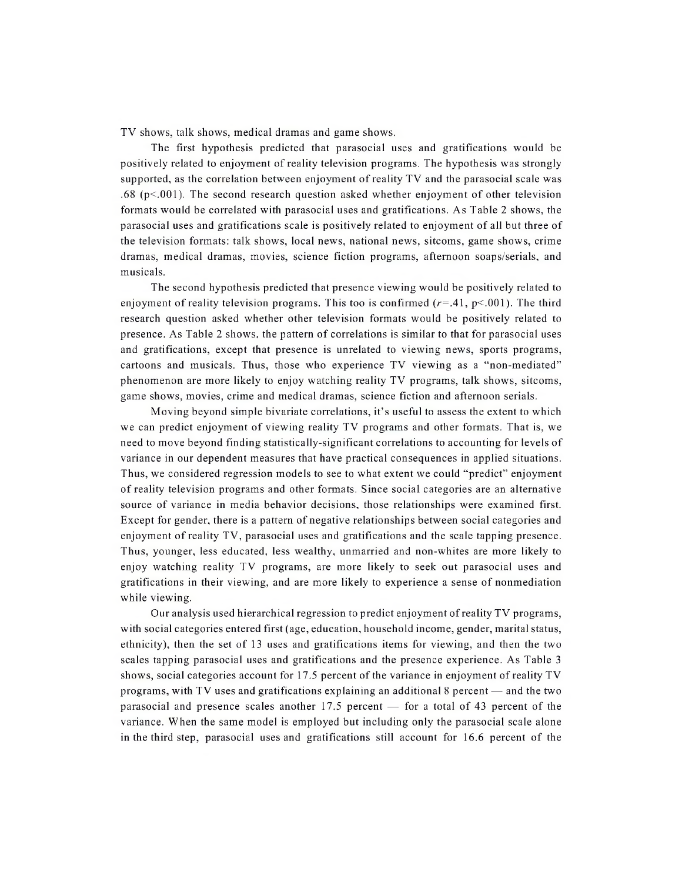TV shows, talk shows, medical dramas and game shows.

The first hypothesis predicted that parasocial uses and gratifications would be positively related to enjoyment of reality television programs. The hypothesis was strongly supported, as the correlation between enjoyment ofreality TV and the parasocial scale was .68 ( $p$ <.001). The second research question asked whether enjoyment of other television formats would be correlated with parasocial uses and gratifications. As Table 2 shows, the parasocial uses and gratifications scale is positively related to enjoyment of all but three of the television formats: talk shows, local news, national news, sitcoms, game shows, crime dramas, medical dramas, movies, science fiction programs, afternoon soaps/serials, and musicals.

The second hypothesis predicted that presence viewing would be positively related to enjoyment of reality television programs. This too is confirmed  $(r=.41, p<.001)$ . The third research question asked whether other television formats would be positively related to presence. As Table 2 shows, the pattern of correlations is similar to that for parasocial uses and gratifications, except that presence is unrelated to viewing news, sports programs, cartoons and musicals. Thus, those who experience TV viewing as a "non-mediated" phenomenon are more likely to enjoy watching reality TV programs, talk shows, sitcoms, game shows, movies, crime and medical dramas, science fiction and afternoon serials.

Moving beyond simple bivariate correlations, it's useful to assess the extent to which we can predict enjoyment of viewing reality TV programs and other formats. That is, we need to move beyond finding statistically-significant correlations to accounting for levels of variance in our dependent measures that have practical consequences in applied situations. Thus, we considered regression models to see to what extent we could "predict" enjoyment of reality television programs and other formats. Since social categories are an alternative source of variance in media behavior decisions, those relationships were examined first. Except for gender, there is a pattern of negative relationships between social categories and enjoyment of reality TV, parasocial uses and gratifications and the scale tapping presence. Thus, younger, less educated, less wealthy, unmarried and non-whites are more likely to enjoy watching reality TV programs, are more likely to seek out parasocial uses and gratifications in their viewing, and are more likely to experience a sense of nonmediation while viewing.

Our analysis used hierarchical regression to predict enjoyment ofreality TV programs, with social categories entered first (age, education, household income, gender, marital status, ethnicity), then the set of 13 uses and gratifications items for viewing, and then the two scales tapping parasocial uses and gratifications and the presence experience. As Table <sup>3</sup> shows, social categories account for 17.5 percent of the variance in enjoyment of reality TV programs, with TV uses and gratifications explaining an additional <sup>8</sup> percent — and the two parasocial and presence scales another 17.5 percent — for a total of 43 percent of the variance. When the same model is employed but including only the parasocial scale alone in the third step, parasocial uses and gratifications still account for 16.6 percent of the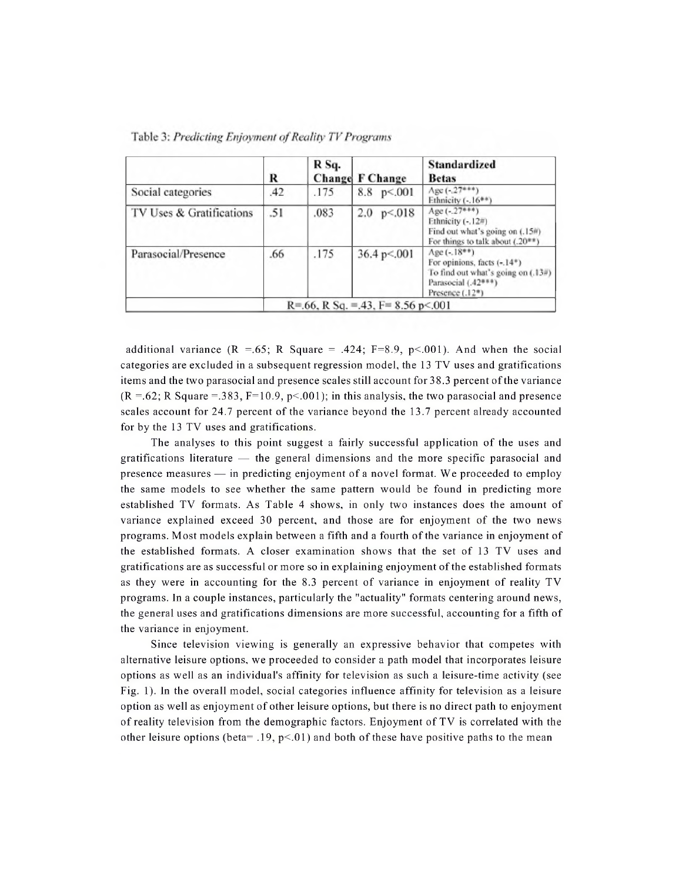|                          | R   | R Sq. | <b>Change F Change</b>                    | Standardized<br><b>Betas</b>                                                                                                                |
|--------------------------|-----|-------|-------------------------------------------|---------------------------------------------------------------------------------------------------------------------------------------------|
| Social categories        | .42 | .175  | 8.8<br>p < .001                           | Age $(-.27***)$<br>Ethnicity $(-.16**)$                                                                                                     |
| TV Uses & Gratifications | .51 | .083  | 2.0<br>p < 018                            | Age $(-.27***)$<br>Ethnicity (-.12#)<br>Find out what's going on (.15#)<br>For things to talk about $(.20^{**})$                            |
| Parasocial/Presence      | .66 | .175  | $36.4 \text{ p} < 0.001$                  | $Age(-18**)$<br>For opinions, facts (-.14*)<br>To find out what's going on $(.13\#)$<br>Parasocial (.42***)<br>Presence (.12 <sup>®</sup> ) |
|                          |     |       | $R = 0.66$ , R Sq. = 43, F = 8.56 p < 001 |                                                                                                                                             |

Table 3: Predicting Enjoyment of Reality TV Programs

additional variance  $(R = .65; R$  Square = .424; F=8.9, p<.001). And when the social categories are excluded in a subsequent regression model, the 13 TV uses and gratifications items and the two parasocial and presence scales still account for 38.3 percent ofthe variance  $(R = .62; R$  Square = .383, F=10.9, p<.001); in this analysis, the two parasocial and presence scales account for 24.7 percent of the variance beyond the 13.7 percent already accounted for by the 13 TV uses and gratifications.

The analyses to this point suggest a fairly successful application of the uses and gratifications literature — the general dimensions and the more specific parasocial and presence measures — in predicting enjoyment of a novel format. We proceeded to employ the same models to see whether the same pattern would be found in predicting more established TV formats. As Table 4 shows, in only two instances does the amount of variance explained exceed 30 percent, and those are for enjoyment of the two news programs. Most models explain between a fifth and a fourth of the variance in enjoyment of the established formats. A closer examination shows that the set of 13 TV uses and gratifications are as successful or more so in explaining enjoyment ofthe established formats as they were in accounting for the 8.3 percent of variance in enjoyment of reality TV programs. In a couple instances, particularly the "actuality" formats centering around news, the general uses and gratifications dimensions are more successful, accounting for a fifth of the variance in enjoyment.

Since television viewing is generally an expressive behavior that competes with alternative leisure options, we proceeded to consider a path model that incorporates leisure options as well as an individual's affinity for television as such a leisure-time activity (see Fig. 1). In the overall model, social categories influence affinity for television as a leisure option as well as enjoyment of other leisure options, but there is no direct path to enjoyment of reality television from the demographic factors. Enjoyment of TV is correlated with the other leisure options (beta= .19,  $p<0$ ) and both of these have positive paths to the mean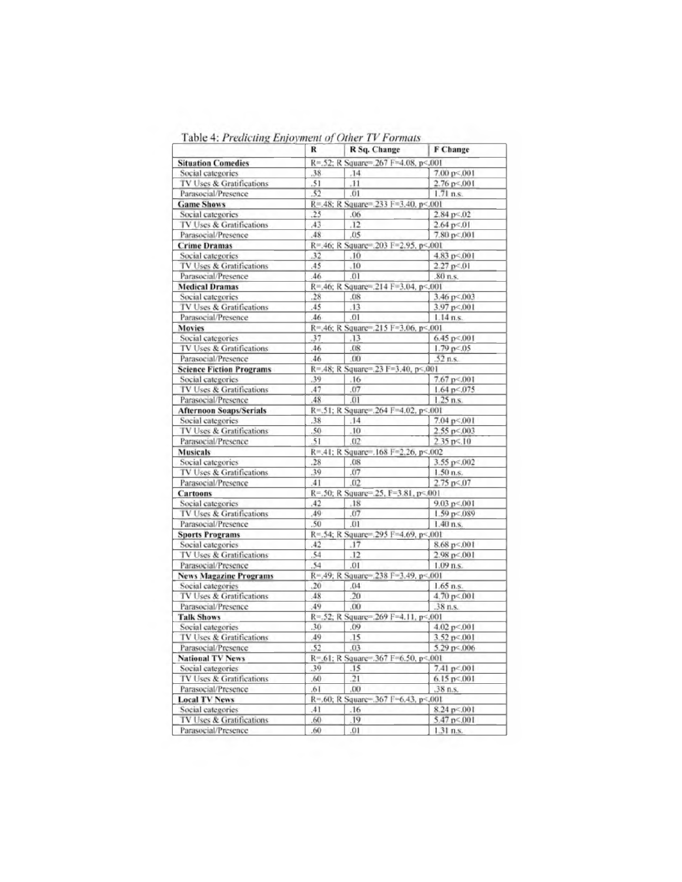| $\mu$ and $\tau$ , a reducting <i>convenient</i> by Concert and <i>Mematic</i> | R              | R Sq. Change                        | F Change                  |
|--------------------------------------------------------------------------------|----------------|-------------------------------------|---------------------------|
| <b>Situation Comedies</b>                                                      |                | R=.52; R Square=.267 F=4.08, p<.001 |                           |
| Social categories                                                              | .38            | $-14$                               | 7.00 p< 001               |
| TV Uses & Gratifications                                                       | .51            | .11                                 | $2.76$ p<.001             |
| Parasocial/Presence                                                            | .52            | .01                                 | $1.71$ n.s.               |
| <b>Game Shows</b>                                                              |                | R=.48; R Square=.233 F=3.40, p<.001 |                           |
| Social categories                                                              | .25            | .06                                 | $2.84 \text{ p} \le 0.02$ |
| TV Uses & Gratifications                                                       | .43            | .12                                 | $2.64$ p $< 01$           |
| Parasocial/Presence                                                            | .48            | .05                                 | 7.80 p<.001               |
| <b>Crime Dramas</b>                                                            |                | R=.46; R Square=.203 F=2.95, p<.001 |                           |
| Social categories                                                              | .32            | .10                                 | 4.83 p<.001               |
| TV Uses & Gratifications                                                       | ,45            | .10                                 | 2.27 p< 01                |
| Parasocial/Presence                                                            | .46            | 01                                  | .80 n.s.                  |
| <b>Medical Dramas</b>                                                          |                | R=,46; R Square=,214 F=3.04, p< 001 |                           |
| Social categories                                                              | .28            | .08                                 | $3.46 \text{ p} < 0.003$  |
| TV Uses & Gratifications                                                       | .45            | .13                                 | 3.97 p <. 001             |
| Parasocial/Presence                                                            | .46            | .01                                 | $1.14$ n.s.               |
| <b>Movies</b>                                                                  |                | R=.46; R Square=.215 F=3.06, p<.001 |                           |
| Social categories                                                              | .37            | .13                                 | $6.45$ p $< 0.01$         |
|                                                                                |                | .08                                 |                           |
| TV Uses & Gratifications                                                       | .46            | .00                                 | 1.79 p < 05               |
| Parasocial/Presence                                                            | .46            |                                     | $.52$ n.s.                |
| <b>Science Fiction Programs</b>                                                |                | R=.48; R Square=.23 F=3.40, p<.001  |                           |
| Social categories                                                              | .39            | .16                                 | 7.67 p< .001              |
| TV Uses & Gratifications                                                       | .47            | .07                                 | 1.64 p<.075               |
| Parasocial/Presence                                                            | .48            | .01                                 | $1.25$ n.s.               |
| <b>Afternoon Soaps/Serials</b>                                                 |                | R=.51; R Square=.264 F=4.02, p< 001 |                           |
| Social categories                                                              | .38            | .14                                 | 7.04 p<.001               |
| TV Uses & Gratifications                                                       | .50            | .10                                 | $2.55 p \le 0.003$        |
| Parasocial/Presence                                                            | .51            | .02                                 | $2.35 \text{ p} < 10$     |
| <b>Musicals</b>                                                                |                | R=.41; R Square=.168 F=2.26, p<.002 |                           |
| Social categories                                                              | .28            | .08                                 | $3.55 \text{ p} < 0.002$  |
| TV Uses & Gratifications                                                       | .39            | .07                                 | $1.50$ n.s.               |
| Parasocial/Presence                                                            | .41            | .02                                 | 2.75 $p < 07$             |
| <b>Cartoons</b>                                                                |                | R=.50; R Square=.25, F=3.81, p<.001 |                           |
| Social categories                                                              | .42            | .18                                 | $9.03 \text{ p} < 0.01$   |
| TV Uses & Gratifications                                                       | .49            | .07                                 | 1.59 p<.089               |
| Parasocial/Presence                                                            | .50            | .01                                 | $1.40$ n.s.               |
| <b>Sports Programs</b>                                                         |                | R=.54; R Square=.295 F=4.69, p< 001 |                           |
| Social categories                                                              | .42            | .17                                 | 8.68 p<.001               |
| TV Uses & Gratifications                                                       | .54            | .12                                 | 2.98 p<.001               |
| Parasocial/Presence                                                            | 54             | .01                                 | $1.09$ n.s.               |
| <b>News Magazine Programs</b>                                                  |                | R=.49; R Square=.238 F=3.49, p<.001 |                           |
| Social categories                                                              | .20            | .04                                 | $1.65$ n.s.               |
| TV Uses & Gratifications                                                       | .48            | .20                                 | 4.70 p<.001               |
| Parasocial/Presence                                                            | .49            | .00                                 | 38 n.s.                   |
| <b>Talk Shows</b>                                                              |                | R=.52; R Square=.269 F=4.11, p<.001 |                           |
| Social categories                                                              | .30            | .09                                 | 4.02 p<.001               |
| TV Uses & Gratifications                                                       | 49             | .15                                 | 3.52 p<.001               |
| Parasocial/Presence                                                            | .52            | .03                                 | 5.29 p <. 006             |
| <b>National TV News</b>                                                        |                | R=.61; R Square=.367 F=6.50, p<.001 |                           |
| Social categories                                                              | .39            | .15                                 | 7.41 p<.001               |
|                                                                                |                |                                     |                           |
| TV Uses & Gratifications                                                       | .60            | .21                                 | $6.15 \text{ p} < 0.001$  |
| Parasocial/Presence                                                            | .61            | 00                                  | $.38$ n.s.                |
| <b>Local TV News</b>                                                           |                | R=.60; R Square=.367 F=6.43, p<.001 |                           |
| Social categories                                                              | A <sub>I</sub> | .16                                 | 8.24 p <. 001             |
| TV Uses & Gratifications                                                       | .60            | .19                                 | 5.47 p<.001               |
| Parasocial/Presence                                                            | .60            | .01                                 | $1.31$ n.s.               |

Table 4: Predicting Enjoyment of Other TV Formats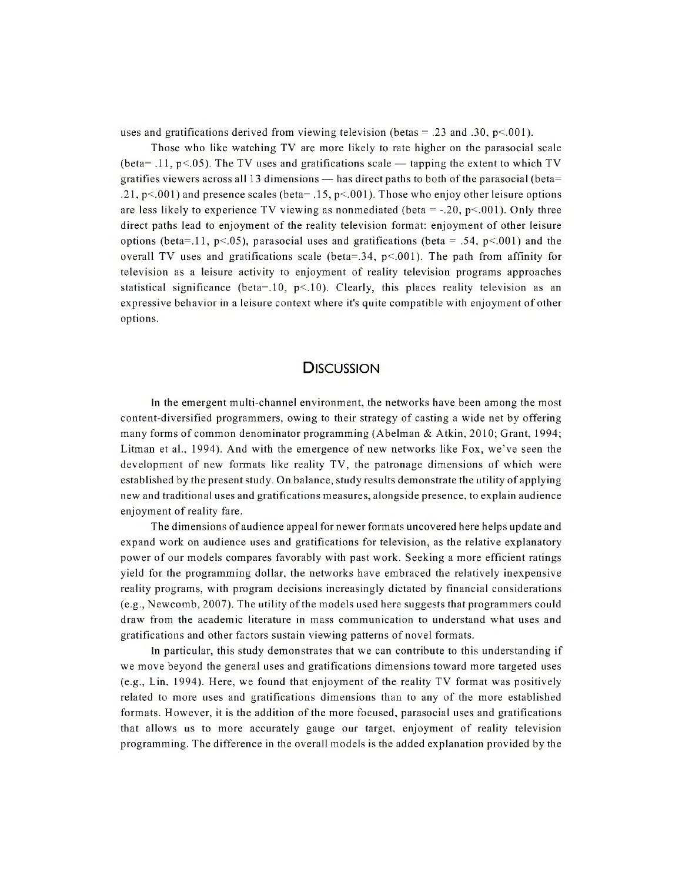uses and gratifications derived from viewing television (betas = .23 and .30,  $p<.001$ ).

Those who like watching TV are more likely to rate higher on the parasocial scale (beta= .11,  $p<0.05$ ). The TV uses and gratifications scale — tapping the extent to which TV gratifies viewers across all 13 dimensions — has direct paths to both of the parasocial (beta= .21,  $p<.001$ ) and presence scales (beta= .15,  $p<.001$ ). Those who enjoy other leisure options are less likely to experience TV viewing as nonmediated (beta  $=$  -.20, p<.001). Only three direct paths lead to enjoyment of the reality television format: enjoyment of other leisure options (beta=.11, p<.05), parasocial uses and gratifications (beta = .54, p<.001) and the overall TV uses and gratifications scale (beta=.34,  $p<0.01$ ). The path from affinity for television as a leisure activity to enjoyment of reality television programs approaches statistical significance (beta=.10,  $p<10$ ). Clearly, this places reality television as an expressive behavior in a leisure context where it's quite compatible with enjoyment of other options.

#### **DISCUSSION**

In the emergent multi-channel environment, the networks have been among the most content-diversified programmers, owing to their strategy of casting a wide net by offering many forms of common denominator programming (Abelman & Atkin, 2010; Grant, 1994; Litman et al., 1994). And with the emergence of new networks like Fox, we've seen the development of new formats like reality TV, the patronage dimensions of which were established by the present study. On balance, study results demonstrate the utility of applying new and traditional uses and gratifications measures, alongside presence, to explain audience enjoyment of reality fare.

The dimensions of audience appeal for newer formats uncovered here helps update and expand work on audience uses and gratifications for television, as the relative explanatory power of our models compares favorably with past work. Seeking a more efficient ratings yield for the programming dollar, the networks have embraced the relatively inexpensive reality programs, with program decisions increasingly dictated by financial considerations (e.g., Newcomb, 2007). The utility ofthe models used here suggests that programmers could draw from the academic literature in mass communication to understand what uses and gratifications and other factors sustain viewing patterns of novel formats.

In particular, this study demonstrates that we can contribute to this understanding if we move beyond the general uses and gratifications dimensions toward more targeted uses (e.g., Lin, 1994). Here, we found that enjoyment of the reality TV format was positively related to more uses and gratifications dimensions than to any of the more established formats. However, it is the addition of the more focused, parasocial uses and gratifications that allows us to more accurately gauge our target, enjoyment of reality television programming. The difference in the overall models is the added explanation provided by the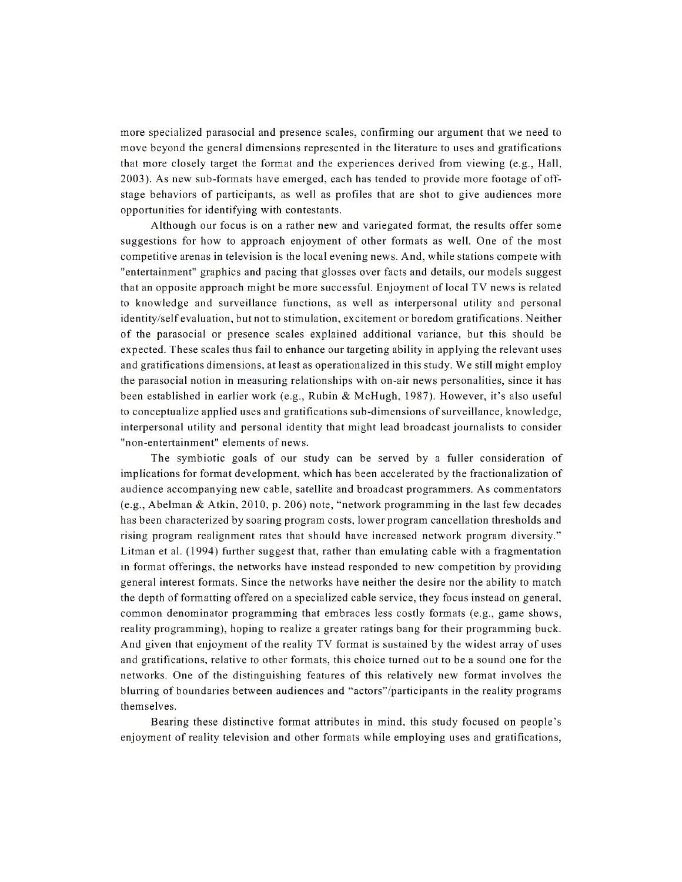more specialized parasocial and presence scales, confirming our argument that we need to move beyond the general dimensions represented in the literature to uses and gratifications that more closely target the format and the experiences derived from viewing (e.g., Hall, 2003). As new sub-formats have emerged, each has tended to provide more footage of offstage behaviors of participants, as well as profiles that are shot to give audiences more opportunities for identifying with contestants.

Although our focus is on a rather new and variegated format, the results offer some suggestions for how to approach enjoyment of other formats as well. One of the most competitive arenas in television is the local evening news. And, while stations compete with "entertainment" graphics and pacing that glosses over facts and details, our models suggest that an opposite approach might be more successful. Enjoyment of local TV news is related to knowledge and surveillance functions, as well as interpersonal utility and personal identity/self evaluation, but not to stimulation, excitement or boredom gratifications. Neither of the parasocial or presence scales explained additional variance, but this should be expected. These scales thus fail to enhance our targeting ability in applying the relevant uses and gratifications dimensions, at least as operationalized in this study. We still might employ the parasocial notion in measuring relationships with on-air news personalities, since it has been established in earlier work (e.g., Rubin & McHugh, 1987). However, it's also useful to conceptualize applied uses and gratifications sub-dimensions of surveillance, knowledge, interpersonal utility and personal identity that might lead broadcast journalists to consider "non-entertainment" elements of news.

The symbiotic goals of our study can be served by a fuller consideration of implications for format development, which has been accelerated by the fractionalization of audience accompanying new cable, satellite and broadcast programmers. As commentators (e.g., Abelman & Atkin, 2010, p. 206) note, "network programming in the last few decades has been characterized by soaring program costs, lower program cancellation thresholds and rising program realignment rates that should have increased network program diversity." Litman et al. (1994) further suggest that, rather than emulating cable with a fragmentation in format offerings, the networks have instead responded to new competition by providing general interest formats. Since the networks have neither the desire nor the ability to match the depth of formatting offered on a specialized cable service, they focus instead on general, common denominator programming that embraces less costly formats (e.g., game shows, reality programming), hoping to realize a greater ratings bang for their programming buck. And given that enjoyment of the reality TV format is sustained by the widest array of uses and gratifications, relative to other formats, this choice turned out to be a sound one for the networks. One of the distinguishing features of this relatively new format involves the blurring of boundaries between audiences and "actors"/participants in the reality programs themselves.

Bearing these distinctive format attributes in mind, this study focused on people's enjoyment of reality television and other formats while employing uses and gratifications,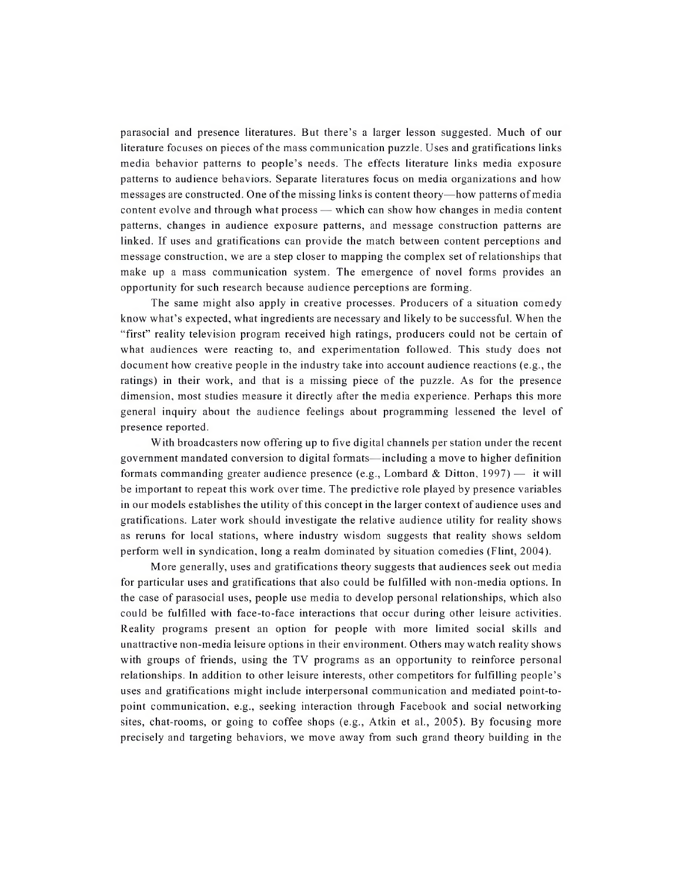parasocial and presence literatures. But there's a larger lesson suggested. Much of our literature focuses on pieces ofthe mass communication puzzle. Uses and gratifications links media behavior patterns to people's needs. The effects literature links media exposure patterns to audience behaviors. Separate literatures focus on media organizations and how messages are constructed. One ofthe missing links is content theory—how patterns ofmedia content evolve and through what process — which can show how changes in media content patterns, changes in audience exposure patterns, and message construction patterns are linked. If uses and gratifications can provide the match between content perceptions and message construction, we are a step closer to mapping the complex set ofrelationships that make up a mass communication system. The emergence of novel forms provides an opportunity for such research because audience perceptions are forming.

The same might also apply in creative processes. Producers of a situation comedy know what's expected, what ingredients are necessary and likely to be successful. When the "first" reality television program received high ratings, producers could not be certain of what audiences were reacting to, and experimentation followed. This study does not document how creative people in the industry take into account audience reactions (e.g., the ratings) in their work, and that is a missing piece of the puzzle. As for the presence dimension, most studies measure it directly after the media experience. Perhaps this more general inquiry about the audience feelings about programming lessened the level of presence reported.

With broadcasters now offering up to five digital channels per station under the recent government mandated conversion to digital formats—including a move to higher definition formats commanding greater audience presence (e.g., Lombard & Ditton, 1997) — it will be important to repeat this work over time. The predictive role played by presence variables in our models establishes the utility of this concept in the larger context of audience uses and gratifications. Later work should investigate the relative audience utility for reality shows as reruns for local stations, where industry wisdom suggests that reality shows seldom perform well in syndication, long a realm dominated by situation comedies (Flint, 2004).

More generally, uses and gratifications theory suggests that audiences seek out media for particular uses and gratifications that also could be fulfilled with non-media options. In the case of parasocial uses, people use media to develop personal relationships, which also could be fulfilled with face-to-face interactions that occur during other leisure activities. Reality programs present an option for people with more limited social skills and unattractive non-media leisure options in their environment. Others may watch reality shows with groups of friends, using the TV programs as an opportunity to reinforce personal relationships. In addition to other leisure interests, other competitors for fulfilling people's uses and gratifications might include interpersonal communication and mediated point-topoint communication, e.g., seeking interaction through Facebook and social networking sites, chat-rooms, or going to coffee shops (e.g., Atkin et ah, 2005). By focusing more precisely and targeting behaviors, we move away from such grand theory building in the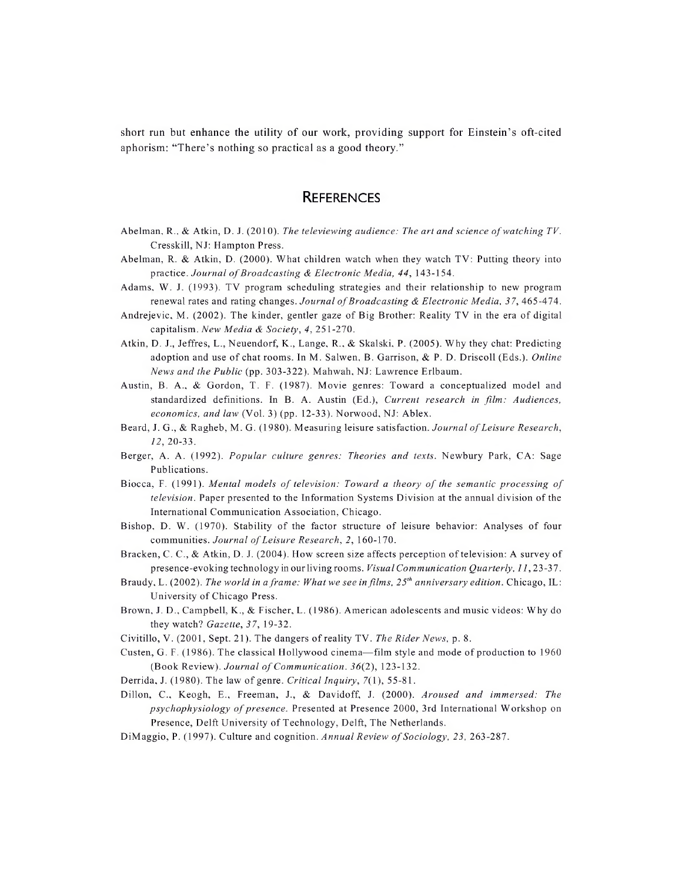short run but enhance the utility of our work, providing support for Einstein's oft-cited aphorism: "There's nothing so practical as a good theory."

## **REFERENCES**

- Abelman, R., & Atkin, D. J. (2010). *The televiewing audience: The art and science ofwatching TV.* Cresskill, NJ: Hampton Press.
- Abelman, R. & Atkin, D. (2000). What children watch when they watch TV: Putting theory into practice. *Journal ofBroadcasting & Electronic Media, 44,* 143-154.
- Adams, W. J. (1993). TV program scheduling strategies and their relationship to new program renewal rates and rating changes. *Journal ofBroadcasting & Electronic Media, 37,* 465-474.
- Andrejevic, M. (2002). The kinder, gentler gaze of Big Brother: Reality TV in the era of digital capitalism. *New Media & Society, 4,* 251-270.
- Atkin, D. J., Jeffres, L., Neuendorf, K., Lange, R., & Skalski, P. (2005). Why they chat: Predicting adoption and use of chat rooms. In M. Salwen, B. Garrison, & P. D. Driscoll (Eds.). *Online News and the Public* (pp. 303-322). Mahwah, NJ: Lawrence Erlbaum.
- Austin, B. A., & Gordon, T. F. (1987). Movie genres: Toward a conceptualized model and standardized definitions. In B. A. Austin (Ed.), *Current research in film: Audiences, economics, and law* (Vol. 3) (pp. 12-33). Norwood, NJ: Ablex.
- Beard, J. G., & Ragheb, M. G. (1980). Measuring leisure satisfaction. *Journal ofLeisure Research, 12,* 20-33.
- Berger, A. A. (1992). *Popular culture genres: Theories and texts.* Newbury Park, CA: Sage Publications.
- Biocca, F. (1991). *Mental models of television: Toward <sup>a</sup> theory of the semantic processing of television.* Paper presented to the Information Systems Division at the annual division of the International Communication Association, Chicago.
- Bishop, D. W. (1970). Stability of the factor structure of leisure behavior: Analyses of four communities. *Journal ofLeisure Research, 2,* 160-170.
- Bracken, C. C., & Atkin, D. J. (2004). How screen size affects perception oftelevision: A survey of presence-evoking technology in our living rooms. *Visual Communication Quarterly, 11,23-37.*
- Braudy, L. (2002).The *world in aframe: What we see in films, 25th anniversary edition.* Chicago, IL: University of Chicago Press.
- Brown, J. D., Campbell, K., & Fischer, L. (1986). American adolescents and music videos: Why do they watch? *Gazette, 37,* 19-32.
- Civitillo, V. (2001, Sept. 21). The dangers of reality TV. *The Rider News,* p. 8.
- Custen, G. F. (1986). The classical Hollywood cinema—film style and mode of production to 1960 (Book Review). *Journal ofCommunication. 36(2),* 123-132.
- Derrida, J. (1980). The law of genre. *Critical Inquiry,* 7(1), 55-81.
- Dillon, C., Keogh, E., Freeman, J., & Davidoff, J. (2000). *Aroused and immersed: The psychophysiology ofpresence.* Presented at Presence 2000, 3rd International Workshop on Presence, Delft University of Technology, Delft, The Netherlands.
- DiMaggio, P. (1997). Culture and cognition. *Annual Review of Sociology*, 23, 263-287.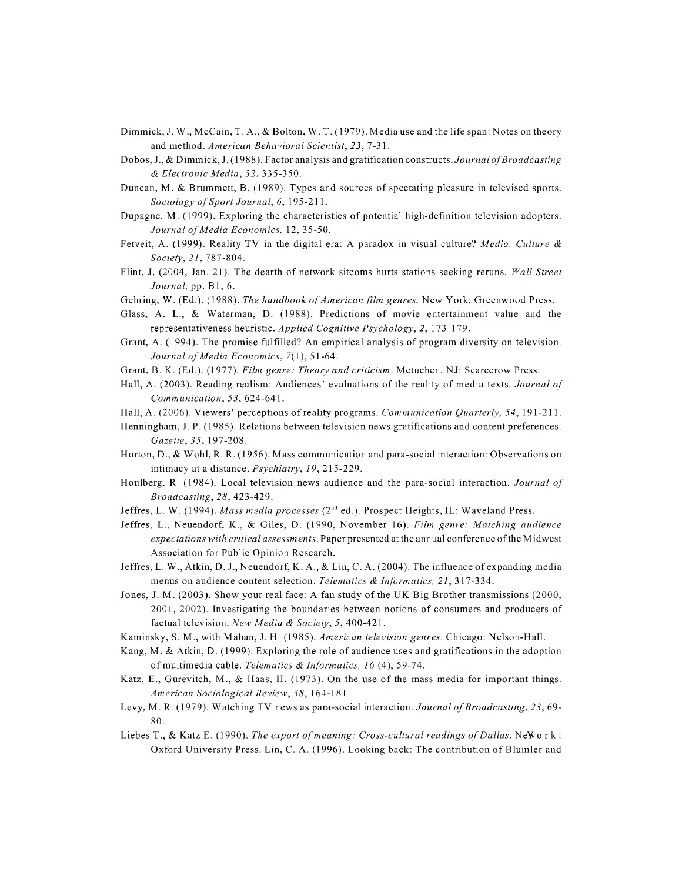- Dimmick, J. W., McCain, T. A., & Bolton, W. T. (1979). Media use and the life span: Notes on theory and method. *American Behavioral Scientist, 23,* 7-31.
- Dobos, J., & Dimmick, J. (1988). Factor analysis and gratification constructs. *JournalofBroadcasting & Electronic Media, 32,* 335-350.
- Duncan, M. & Brummett, B. (1989). Types and sources of spectating pleasure in televised sports. *Sociology ofSport Journal, 6,* 195-211.
- Dupagne, M. (1999). Exploring the characteristics of potential high-definition television adopters. *Journal ofMedia Economics,* 12, 35-50.
- Fetveit, A. (1999). Reality TV in the digital era: A paradox in visual culture? *Media, Culture & Society, 21,* 787-804.
- Flint, J. (2004, Jan. 21). The dearth of network sitcoms hurts stations seeking reruns. *Wall Street Journal,* pp. B1, 6.
- Gehring, W. (Ed.). (1988). *The handbook of American film genres*. New York: Greenwood Press.
- Glass, A. L., & Waterman, D. (1988). Predictions of movie entertainment value and the representativeness heuristic. *Applied Cognitive Psychology, 2,* 173-179.
- Grant, A. (1994). The promise fulfilled? An empirical analysis of program diversity on television. *Journal ofMedia Economics,* 7(1), 51-64.
- Grant, B. K. (Ed.). (1977). *Film genre: Theory and criticism.* Metuchen, NJ: Scarecrow Press.
- Hall, A. (2003). Reading realism: Audiences' evaluations of the reality of media texts. *Journal of Communication, 53,* 624-641.
- Hall, A. (2006). Viewers' perceptions ofreality programs. *Communication Quarterly, 54,* 191-211.
- Henningham, J. P. (1985). Relations between television news gratifications and content preferences. *Gazette, 35,* 197-208.
- Horton, D., & Wohl, R. R. (1956). Mass communication and para-social interaction: Observations on intimacy at a distance. *Psychiatry, 19,* 215-229.
- Houlberg, R. (1984). Local television news audience and the para-social interaction. *Journal of Broadcasting, 28,* 423-429.
- Jeffres, L. W. (1994). *Mass media processes* (2nd ed.). Prospect Heights, IL: Waveland Press.
- Jeffres, L., Neuendorf, K., & Giles, D. (1990, November 16). *Film genre: Matching audience expectations with critical assessments.* Paper presented at the annual conference ofthe Midwest Association for Public Opinion Research.
- Jeffres, L. W., Atkin, D. J., Neuendorf, K. A., & Lin, C. A. (2004). The influence of expanding media menus on audience content selection. *Telematics & Informatics, 21,* 317-334.
- Jones, J. M. (2003). Show your real face: A fan study of the UK Big Brother transmissions (2000, 2001, 2002). Investigating the boundaries between notions of consumers and producers of factual television. *New Media & Society, 5,* 400-421.
- Kaminsky, S. M., with Mahan, J. H. (1985). *American television genres.* Chicago: Nelson-Hall.
- Kang, M. & Atkin, D. (1999). Exploring the role of audience uses and gratifications in the adoption of multimedia cable. *Telematics & Informatics, 16* (4), 59-74.
- Katz, E., Gurevitch, M., & Haas, H. (1973). On the use of the mass media for important things. *American Sociological Review, 38,* 164-181.
- Levy, M. R. (1979). Watching TV news as para-social interaction. *Journal ofBroadcasting, 23,* 69- 80.
- Liebes T., & Katz E. (1990). *The export of meaning: Cross-cultural readings of Dallas.* New or k: Oxford University Press. Lin, C. A. (1996). Looking back: The contribution of Blunder and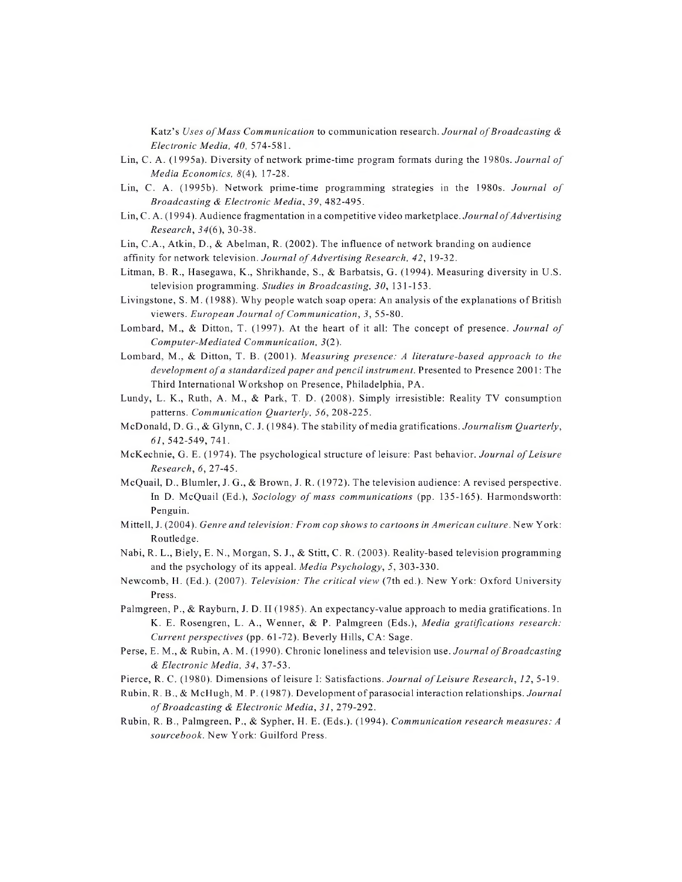Katz's *Uses ofMass Communication* to communication research. *Journal ofBroadcasting & Electronic Media, 40,* 574-581.

- Lin, C. A. (1995a). Diversity of network prime-time program formats during the 1980s. *Journal of Media Economics, 8(4),* 17-28.
- Lin, C. A. (1995b). Network prime-time programming strategies in the 1980s. *Journal of Broadcasting & Electronic Media, 39,* 482-495.
- Lin, C.A. (1994). Audience fragmentation in a competitive video marketplace. *Journal of Advertising Research, 34(6),* 30-38.
- Lin, C.A., Atkin, D., & Abelman, R. (2002). The influence of network branding on audience
- affinity for network television. *Journal of Advertising Research*, 42, 19-32.
- Litman, B. R., Hasegawa, K., Shrikhande, S., & Barbatsis, G. (1994). Measuring diversity in U.S. television programming. *Studies in Broadcasting, 30,* 131-153.
- Livingstone, S. M. (1988). Why people watch soap opera: An analysis ofthe explanations of British viewers. *European Journal ofCommunication, 3,* 55-80.
- Lombard, M., & Ditton, T. (1997). At the heart of it all: The concept of presence. *Journal of Computer-Mediated Communication, 3(2).*
- Lombard, M., & Ditton, T. B. (2001). *Measuring presence: A literature-based approach to the development ofa standardized paper andpencil instrument.* Presented to Presence 2001: The Third International Workshop on Presence, Philadelphia, PA.
- Lundy, L. K., Ruth, A. M., & Park, T. D. (2008). Simply irresistible: Reality TV consumption patterns. *Communication Quarterly, 56,* 208-225.
- McDonald, D. G., & Glynn, C. J. (1984). The stability ofmedia gratifications. *Journalism Quarterly, 61,* 542-549, 741.
- McKechnie, G. E. (1974). The psychological structure of leisure: Past behavior. *Journal ofLeisure Research, 6,* 27-45.
- McQuail, D., Blunder, J. G., & Brown, J. R. (1972). The television audience: A revised perspective. In D. McQuail (Ed.), *Sociology of mass communications* (pp. 135-165). Harmondsworth: Penguin.
- Mittell, J. (2004). *Genre and television: From cop shows to cartoons in American culture.* New York: Routledge.
- Nabi, R. L., Biely, E. N., Morgan, S. J., & Stitt, C. R. (2003). Reality-based television programming and the psychology of its appeal. *Media Psychology, 5,* 303-330.
- Newcomb, H. (Ed.). (2007). *Television: The critical view* (7th ed.). New York: Oxford University Press.
- Palmgreen, P., & Rayburn, J. D. II (1985). An expectancy-value approach to media gratifications. In K. E. Rosengren, L. A., Wenner, & P. Palmgreen (Eds.), *Media gratifications research: Current perspectives* (pp. 61-72). Beverly Hills, CA: Sage.
- Perse, E. M., & Rubin, A. M. (1990). Chronic loneliness and television use. *Journal ofBroadcasting & Electronic Media, 34,* 37-53.
- Pierce, R. C. (1980). Dimensions of leisure I: Satisfactions. *Journal ofLeisure Research, 12,* 5-19.
- Rubin, R. B., & McHugh, M.P.(1987). Development ofparasocial interaction relationships. *Journal ofBroadcasting & Electronic Media, 31,* 279-292.
- Rubin, R. B., Palmgreen, P., & Sypher, H. E. (Eds.). (1994). *Communication research measures: A sourcebook.* New York: Guilford Press.